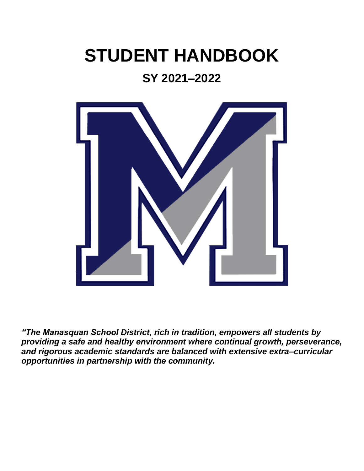# **STUDENT HANDBOOK**

# **SY 2021–2022**



*"The Manasquan School District, rich in tradition, empowers all students by providing a safe and healthy environment where continual growth, perseverance, and rigorous academic standards are balanced with extensive extra–curricular opportunities in partnership with the community.*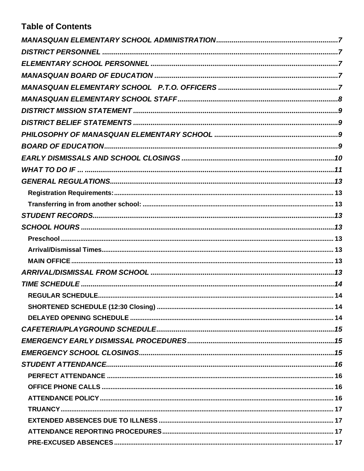# **Table of Contents**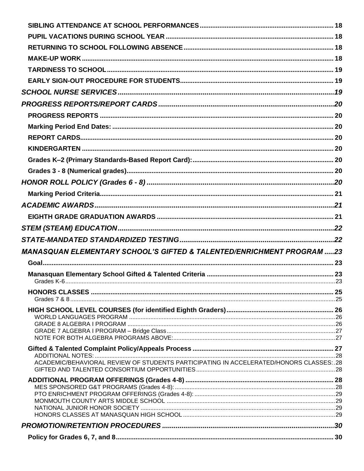| <b>MANASQUAN ELEMENTARY SCHOOL'S GIFTED &amp; TALENTED/ENRICHMENT PROGRAM 23</b>         |  |
|------------------------------------------------------------------------------------------|--|
|                                                                                          |  |
|                                                                                          |  |
|                                                                                          |  |
|                                                                                          |  |
|                                                                                          |  |
|                                                                                          |  |
|                                                                                          |  |
|                                                                                          |  |
|                                                                                          |  |
|                                                                                          |  |
|                                                                                          |  |
| ACADEMIC/BEHAVIORAL REVIEW OF STUDENTS PARTICIPATING IN ACCELERATED/HONORS CLASSES: . 28 |  |
|                                                                                          |  |
|                                                                                          |  |
|                                                                                          |  |
|                                                                                          |  |
|                                                                                          |  |
|                                                                                          |  |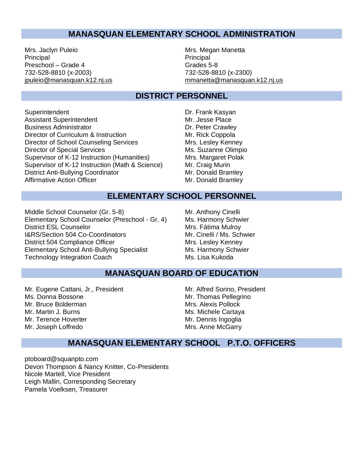### **MANASQUAN ELEMENTARY SCHOOL ADMINISTRATION**

Mrs. Jachyn Puleio **Mrs. Mrs. Megan Manetta** Principal **Principal** Principal **Principal** Preschool – Grade 4 Grades 5-8 732-528-8810 (x-2003) 732-528-8810 (x-2300)

<span id="page-6-0"></span>[jpuleio@manasquan.k12.nj.us](mailto:jpuleio@manasquan.k12.nj.us) [mmanetta@manasquan.k12.nj.us](mailto:mmanetta@manasquan.k12.nj.us)

### **DISTRICT PERSONNEL**

- <span id="page-6-1"></span>Superintendent **Dr. Frank Kasyan** Assistant Superintendent Mr. Jesse Place Business Administrator<br>
Director of Curriculum & Instruction<br>
Director of Curriculum & Instruction<br>
Director of Curriculum & Instruction Director of Curriculum & Instruction<br>
Director of School Counseling Services<br>
Mrs. Lesley Kenney Director of School Counseling Services Director of Special Services Ms. Suzanne Olimpio Supervisor of K-12 Instruction (Humanities) Mrs. Margaret Polak Supervisor of K-12 Instruction (Math & Science) Mr. Craig Murin District Anti-Bullying Coordinator Muslem Mr. Donald Bramley Affirmative Action Officer Mr. Donald Bramley
- 

### **ELEMENTARY SCHOOL PERSONNEL**

<span id="page-6-2"></span>Middle School Counselor (Gr. 5-8)<br>
Elementary School Counselor (Preschool - Gr. 4) Ms. Harmony Schwier Elementary School Counselor (Preschool - Gr. 4) Ms. Harmony Schwi<br>District ESL Counselor Mrs. Fátima Mulrov District ESL Counselor I&RS/Section 504 Co-Coordinators Mr. Cinelli / Ms. Schwier District 504 Compliance Officer Mrs. Lesley Kenney Elementary School Anti-Bullying Specialist Ms. Harmony Schwier Technology Integration Coach Ms. Lisa Kukoda

#### **MANASQUAN BOARD OF EDUCATION**

<span id="page-6-3"></span>Mr. Eugene Cattani, Jr., President Mr. Alfred Sorino, President Ms. Donna Bossone Mr. Thomas Pellegrino Mr. Bruce Bolderman Mrs. Alexis Pollock Mr. Martin J. Burns Ms. Michele Cartaya Mr. Terence Hoverter **Mr. Dennis Ingoglia** Mr. Joseph Loffredo **Mrs. Anne McGarry** 

### **MANASQUAN ELEMENTARY SCHOOL P.T.O. OFFICERS**

<span id="page-6-4"></span>[ptoboard@squanpto.com](mailto:ptoboard@squanpto.com) Devon Thompson & Nancy Knitter, Co-Presidents Nicole Martell, Vice President Leigh Mallin, Corresponding Secretary Pamela Voelksen, Treasurer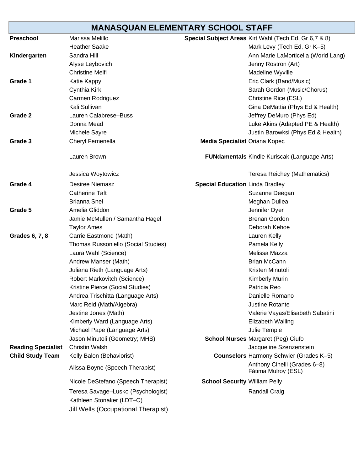# **MANASQUAN ELEMENTARY SCHOOL STAFF**

<span id="page-7-0"></span>

| <b>Preschool</b>          | Marissa Melillo                                                 |                                        | Special Subject Areas Kirt Wahl (Tech Ed, Gr 6,7 & 8) |
|---------------------------|-----------------------------------------------------------------|----------------------------------------|-------------------------------------------------------|
|                           | <b>Heather Saake</b>                                            |                                        | Mark Levy (Tech Ed, Gr K-5)                           |
| Kindergarten              | Sandra Hill                                                     |                                        | Ann Marie LaMorticella (World Lang)                   |
|                           | Alyse Leybovich                                                 |                                        | Jenny Rostron (Art)                                   |
|                           | <b>Christine Melfi</b>                                          |                                        | Madeline Wyville                                      |
| Grade 1                   | Katie Kappy                                                     |                                        | Eric Clark (Band/Music)                               |
|                           | Cynthia Kirk                                                    |                                        | Sarah Gordon (Music/Chorus)                           |
|                           | Carmen Rodriguez                                                |                                        | Christine Rice (ESL)                                  |
|                           | Kali Sullivan                                                   |                                        | Gina DeMattia (Phys Ed & Health)                      |
| Grade 2                   | Lauren Calabrese-Buss                                           |                                        | Jeffrey DeMuro (Phys Ed)                              |
|                           | Donna Mead                                                      |                                        | Luke Akins (Adapted PE & Health)                      |
|                           | Michele Sayre                                                   |                                        | Justin Barowksi (Phys Ed & Health)                    |
| Grade 3                   | Cheryl Femenella                                                | <b>Media Specialist Oriana Kopec</b>   |                                                       |
|                           | Lauren Brown                                                    |                                        | <b>FUNdamentals Kindle Kuriscak (Language Arts)</b>   |
|                           | Jessica Woytowicz                                               |                                        | Teresa Reichey (Mathematics)                          |
| Grade 4                   | <b>Desiree Niemasz</b>                                          | <b>Special Education Linda Bradley</b> |                                                       |
|                           | <b>Catherine Taft</b>                                           |                                        | Suzanne Deegan                                        |
|                           | <b>Brianna Snel</b>                                             |                                        | Meghan Dullea                                         |
| Grade 5                   | Amelia Gliddon                                                  |                                        | Jennifer Dyer                                         |
|                           | Jamie McMullen / Samantha Hagel                                 |                                        | <b>Brenan Gordon</b>                                  |
|                           | <b>Taylor Ames</b>                                              |                                        | Deborah Kehoe                                         |
| Grades 6, 7, 8            | Carrie Eastmond (Math)                                          |                                        | Lauren Kelly                                          |
|                           | Thomas Russoniello (Social Studies)                             |                                        | Pamela Kelly                                          |
|                           | Laura Wahl (Science)                                            |                                        | Melissa Mazza                                         |
|                           | Andrew Manser (Math)                                            |                                        | <b>Brian McCann</b>                                   |
|                           | Juliana Rieth (Language Arts)                                   |                                        | Kristen Minutoli                                      |
|                           | Robert Markovitch (Science)                                     |                                        | <b>Kimberly Murin</b>                                 |
|                           | Kristine Pierce (Social Studies)                                |                                        | Patricia Reo                                          |
|                           | Andrea Trischitta (Language Arts)                               |                                        | Danielle Romano                                       |
|                           | Marc Reid (Math/Algebra)                                        |                                        | <b>Justine Rotante</b>                                |
|                           | Jestine Jones (Math)                                            |                                        | Valerie Vayas/Elisabeth Sabatini                      |
|                           | Kimberly Ward (Language Arts)                                   |                                        | Elizabeth Walling                                     |
|                           | Michael Pape (Language Arts)                                    |                                        | Julie Temple                                          |
|                           | Jason Minutoli (Geometry; MHS)                                  |                                        | <b>School Nurses Margaret (Peg) Ciufo</b>             |
| <b>Reading Specialist</b> | <b>Christin Walsh</b>                                           |                                        | Jacqueline Szenzenstein                               |
| <b>Child Study Team</b>   | Kelly Balon (Behaviorist)                                       |                                        | <b>Counselors Harmony Schwier (Grades K-5)</b>        |
|                           | Alissa Boyne (Speech Therapist)                                 |                                        | Anthony Cinelli (Grades 6-8)<br>Fátima Mulroy (ESL)   |
|                           | Nicole DeStefano (Speech Therapist)                             | <b>School Security William Pelly</b>   |                                                       |
|                           | Teresa Savage-Lusko (Psychologist)<br>Kathleen Stonaker (LDT-C) |                                        | <b>Randall Craig</b>                                  |
|                           | Jill Wells (Occupational Therapist)                             |                                        |                                                       |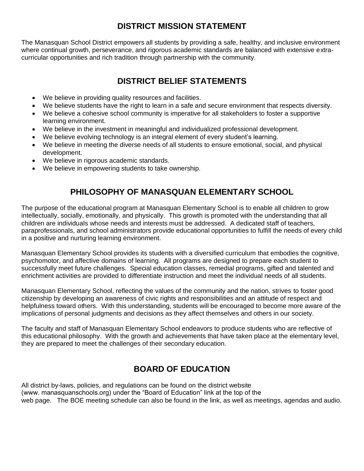# **DISTRICT MISSION STATEMENT**

<span id="page-8-0"></span>The Manasquan School District empowers all students by providing a safe, healthy, and inclusive environment where continual growth, perseverance, and rigorous academic standards are balanced with extensive extracurricular opportunities and rich tradition through partnership with the community.

# **DISTRICT BELIEF STATEMENTS**

- <span id="page-8-1"></span>We believe in providing quality resources and facilities.
- We believe students have the right to learn in a safe and secure environment that respects diversity.
- We believe a cohesive school community is imperative for all stakeholders to foster a supportive learning environment.
- We believe in the investment in meaningful and individualized professional development.
- We believe evolving technology is an integral element of every student's learning.
- We believe in meeting the diverse needs of all students to ensure emotional, social, and physical development.
- We believe in rigorous academic standards.
- We believe in empowering students to take ownership.

# **PHILOSOPHY OF MANASQUAN ELEMENTARY SCHOOL**

<span id="page-8-2"></span>The purpose of the educational program at Manasquan Elementary School is to enable all children to grow intellectually, socially, emotionally, and physically. This growth is promoted with the understanding that all children are individuals whose needs and interests must be addressed. A dedicated staff of teachers, paraprofessionals, and school administrators provide educational opportunities to fulfill the needs of every child in a positive and nurturing learning environment.

Manasquan Elementary School provides its students with a diversified curriculum that embodies the cognitive, psychomotor, and affective domains of learning. All programs are designed to prepare each student to successfully meet future challenges. Special education classes, remedial programs, gifted and talented and enrichment activities are provided to differentiate instruction and meet the individual needs of all students.

Manasquan Elementary School, reflecting the values of the community and the nation, strives to foster good citizenship by developing an awareness of civic rights and responsibilities and an attitude of respect and helpfulness toward others. With this understanding, students will be encouraged to become more aware of the implications of personal judgments and decisions as they affect themselves and others in our society.

The faculty and staff of Manasquan Elementary School endeavors to produce students who are reflective of this educational philosophy. With the growth and achievements that have taken place at the elementary level, they are prepared to meet the challenges of their secondary education.

# **BOARD OF EDUCATION**

<span id="page-8-3"></span>All district by-laws, policies, and regulations can be found on the district website (www. manasquanschools.org) under the "Board of Education" link at the top of the web page. The BOE meeting schedule can also be found in the link, as well as meetings, agendas and audio.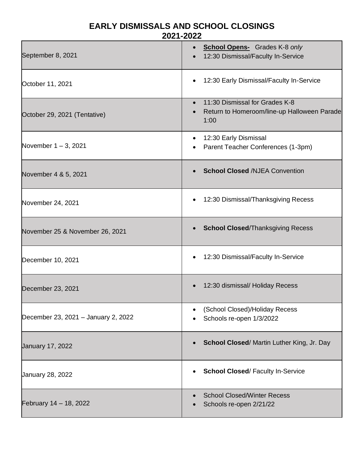### **EARLY DISMISSALS AND SCHOOL CLOSINGS 2021-2022**

<span id="page-9-0"></span>

| September 8, 2021                   | <b>School Opens-</b> Grades K-8 only<br>12:30 Dismissal/Faculty In-Service            |
|-------------------------------------|---------------------------------------------------------------------------------------|
| October 11, 2021                    | 12:30 Early Dismissal/Faculty In-Service                                              |
| October 29, 2021 (Tentative)        | 11:30 Dismissal for Grades K-8<br>Return to Homeroom/line-up Halloween Parade<br>1:00 |
| November $1 - 3$ , 2021             | 12:30 Early Dismissal<br>Parent Teacher Conferences (1-3pm)                           |
| November 4 & 5, 2021                | <b>School Closed /NJEA Convention</b>                                                 |
| November 24, 2021                   | 12:30 Dismissal/Thanksgiving Recess                                                   |
| November 25 & November 26, 2021     | <b>School Closed/Thanksgiving Recess</b><br>$\bullet$                                 |
| December 10, 2021                   | 12:30 Dismissal/Faculty In-Service                                                    |
| December 23, 2021                   | 12:30 dismissal/ Holiday Recess                                                       |
| December 23, 2021 - January 2, 2022 | (School Closed)/Holiday Recess<br>Schools re-open 1/3/2022                            |
| January 17, 2022                    | School Closed/ Martin Luther King, Jr. Day                                            |
| January 28, 2022                    | <b>School Closed/Faculty In-Service</b>                                               |
| February 14 - 18, 2022              | <b>School Closed/Winter Recess</b><br>Schools re-open 2/21/22                         |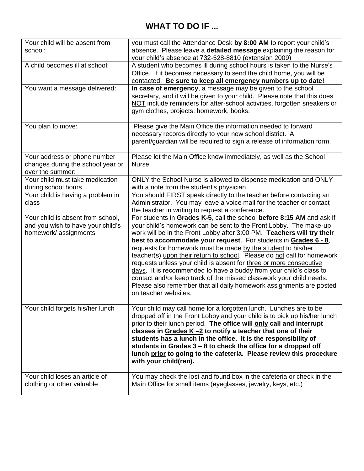# **WHAT TO DO IF ...**

<span id="page-10-0"></span>

| Your child will be absent from    | you must call the Attendance Desk by 8:00 AM to report your child's                                                                        |
|-----------------------------------|--------------------------------------------------------------------------------------------------------------------------------------------|
| school:                           | absence. Please leave a detailed message explaining the reason for                                                                         |
|                                   | your child's absence at 732-528-8810 (extension 2009)                                                                                      |
| A child becomes ill at school:    | A student who becomes ill during school hours is taken to the Nurse's                                                                      |
|                                   | Office. If it becomes necessary to send the child home, you will be<br>contacted. Be sure to keep all emergency numbers up to date!        |
| You want a message delivered:     | In case of emergency, a message may be given to the school                                                                                 |
|                                   | secretary, and it will be given to your child. Please note that this does                                                                  |
|                                   | NOT include reminders for after-school activities, forgotten sneakers or                                                                   |
|                                   | gym clothes, projects, homework, books.                                                                                                    |
|                                   |                                                                                                                                            |
| You plan to move:                 | Please give the Main Office the information needed to forward                                                                              |
|                                   | necessary records directly to your new school district. A                                                                                  |
|                                   | parent/guardian will be required to sign a release of information form.                                                                    |
| Your address or phone number      | Please let the Main Office know immediately, as well as the School                                                                         |
| changes during the school year or | Nurse.                                                                                                                                     |
| over the summer:                  |                                                                                                                                            |
| Your child must take medication   | ONLY the School Nurse is allowed to dispense medication and ONLY                                                                           |
| during school hours               | with a note from the student's physician.                                                                                                  |
| Your child is having a problem in | You should FIRST speak directly to the teacher before contacting an                                                                        |
| class                             | Administrator. You may leave a voice mail for the teacher or contact                                                                       |
| Your child is absent from school, | the teacher in writing to request a conference.                                                                                            |
| and you wish to have your child's | For students in Grades K-5, call the school before 8:15 AM and ask if<br>your child's homework can be sent to the Front Lobby. The make-up |
| homework/assignments              | work will be in the Front Lobby after 3:00 PM. Teachers will try their                                                                     |
|                                   | best to accommodate your request. For students in Grades $6 - 8$ ,                                                                         |
|                                   | requests for homework must be made by the student to his/her                                                                               |
|                                   | teacher(s) upon their return to school. Please do not call for homework                                                                    |
|                                   | requests unless your child is absent for three or more consecutive                                                                         |
|                                   | days. It is recommended to have a buddy from your child's class to                                                                         |
|                                   | contact and/or keep track of the missed classwork your child needs.                                                                        |
|                                   | Please also remember that all daily homework assignments are posted<br>on teacher websites.                                                |
|                                   |                                                                                                                                            |
| Your child forgets his/her lunch  | Your child may call home for a forgotten lunch. Lunches are to be                                                                          |
|                                   | dropped off in the Front Lobby and your child is to pick up his/her lunch                                                                  |
|                                   | prior to their lunch period. The office will only call and interrupt                                                                       |
|                                   | classes in Grades $K - 2$ to notify a teacher that one of their                                                                            |
|                                   | students has a lunch in the office. It is the responsibility of                                                                            |
|                                   | students in Grades 3 – 8 to check the office for a dropped off<br>lunch prior to going to the cafeteria. Please review this procedure      |
|                                   | with your child(ren).                                                                                                                      |
|                                   |                                                                                                                                            |
| Your child loses an article of    | You may check the lost and found box in the cafeteria or check in the                                                                      |
| clothing or other valuable        | Main Office for small items (eyeglasses, jewelry, keys, etc.)                                                                              |
|                                   |                                                                                                                                            |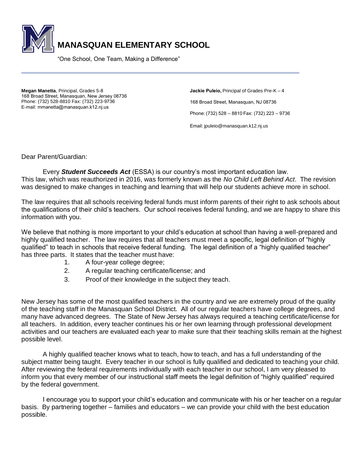

"One School, One Team, Making a Difference" 

**Megan Manetta**, Principal, Grades 5-8  168 Broad Street, Manasquan, New Jersey 08736  Phone: (732) 528-8810 Fax: (732) 223-9736  E-mail: mmanetta@manasquan.k12.nj.us 

**Jackie Puleio,**Principal of Grades Pre-K – 4   168 Broad Street, Manasquan, NJ 08736   Phone: (732) 528 – 8810 Fax: (732) 223 – 9736 

Email[: jpuleio@manasquan.k12.nj.us](mailto:jpuleio@manasquan.k12.nj.us)  

Dear Parent/Guardian:

Every *Student Succeeds Act* (ESSA) is our country's most important education law. This law, which was reauthorized in 2016, was formerly known as the *No Child Left Behind Act*. The revision was designed to make changes in teaching and learning that will help our students achieve more in school.

The law requires that all schools receiving federal funds must inform parents of their right to ask schools about the qualifications of their child's teachers. Our school receives federal funding, and we are happy to share this information with you.

We believe that nothing is more important to your child's education at school than having a well-prepared and highly qualified teacher. The law requires that all teachers must meet a specific, legal definition of "highly qualified" to teach in schools that receive federal funding. The legal definition of a "highly qualified teacher" has three parts. It states that the teacher must have:

- 1. A four-year college degree;
- 2. A regular teaching certificate/license; and
- 3. Proof of their knowledge in the subject they teach.

New Jersey has some of the most qualified teachers in the country and we are extremely proud of the quality of the teaching staff in the Manasquan School District. All of our regular teachers have college degrees, and many have advanced degrees. The State of New Jersey has always required a teaching certificate/license for all teachers. In addition, every teacher continues his or her own learning through professional development activities and our teachers are evaluated each year to make sure that their teaching skills remain at the highest possible level.

A highly qualified teacher knows what to teach, how to teach, and has a full understanding of the subject matter being taught. Every teacher in our school is fully qualified and dedicated to teaching your child. After reviewing the federal requirements individually with each teacher in our school, I am very pleased to inform you that every member of our instructional staff meets the legal definition of "highly qualified" required by the federal government.

I encourage you to support your child's education and communicate with his or her teacher on a regular basis. By partnering together – families and educators – we can provide your child with the best education possible.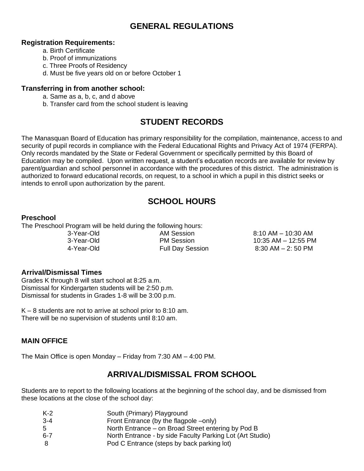### **GENERAL REGULATIONS**

#### <span id="page-12-1"></span><span id="page-12-0"></span>**Registration Requirements:**

- a. Birth Certificate
- b. Proof of immunizations
- c. Three Proofs of Residency
- d. Must be five years old on or before October 1

### <span id="page-12-2"></span>**Transferring in from another school:**

- a. Same as a, b, c, and d above
- b. Transfer card from the school student is leaving

# **STUDENT RECORDS**

<span id="page-12-3"></span>The Manasquan Board of Education has primary responsibility for the compilation, maintenance, access to and security of pupil records in compliance with the Federal Educational Rights and Privacy Act of 1974 (FERPA). Only records mandated by the State or Federal Government or specifically permitted by this Board of Education may be compiled. Upon written request, a student's education records are available for review by parent/guardian and school personnel in accordance with the procedures of this district. The administration is authorized to forward educational records, on request, to a school in which a pupil in this district seeks or intends to enroll upon authorization by the parent.

# **SCHOOL HOURS**

#### <span id="page-12-5"></span><span id="page-12-4"></span>**Preschool**

The Preschool Program will be held during the following hours:

3-Year-Old **AM Session** 8:10 AM – 10:30 AM 3-Year-Old PM Session 10:35 AM – 12:55 PM 4-Year-Old Full Day Session 8:30 AM – 2: 50 PM

### <span id="page-12-6"></span>**Arrival/Dismissal Times**

Grades K through 8 will start school at 8:25 a.m. Dismissal for Kindergarten students will be 2:50 p.m. Dismissal for students in Grades 1-8 will be 3:00 p.m.

K – 8 students are not to arrive at school prior to 8:10 am. There will be no supervision of students until 8:10 am.

### <span id="page-12-7"></span>**MAIN OFFICE**

<span id="page-12-8"></span>The Main Office is open Monday – Friday from 7:30 AM – 4:00 PM.

# **ARRIVAL/DISMISSAL FROM SCHOOL**

Students are to report to the following locations at the beginning of the school day, and be dismissed from these locations at the close of the school day:

| K-2 | South (Primary) Playground                                |
|-----|-----------------------------------------------------------|
| 3-4 | Front Entrance (by the flagpole –only)                    |
| 5.  | North Entrance – on Broad Street entering by Pod B        |
| 6-7 | North Entrance - by side Faculty Parking Lot (Art Studio) |
| 8   | Pod C Entrance (steps by back parking lot)                |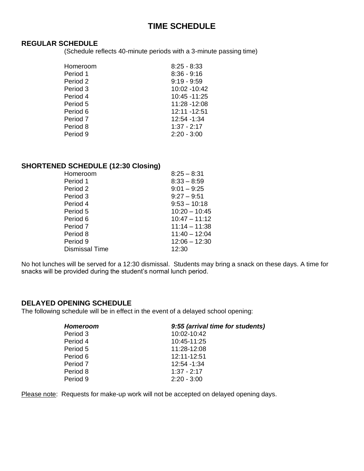### **TIME SCHEDULE**

#### <span id="page-13-1"></span><span id="page-13-0"></span>**REGULAR SCHEDULE**

(Schedule reflects 40-minute periods with a 3-minute passing time)

| Homeroom | $8:25 - 8:33$ |
|----------|---------------|
| Period 1 | $8:36 - 9:16$ |
| Period 2 | $9:19 - 9:59$ |
| Period 3 | 10:02 -10:42  |
| Period 4 | 10:45 -11:25  |
| Period 5 | 11:28 -12:08  |
| Period 6 | 12:11 -12:51  |
| Period 7 | 12:54 -1:34   |
| Period 8 | $1:37 - 2:17$ |
| Period 9 | $2:20 - 3:00$ |

### <span id="page-13-2"></span>**SHORTENED SCHEDULE (12:30 Closing)**

| Homeroom              | $8:25 - 8:31$   |
|-----------------------|-----------------|
| Period 1              | $8:33 - 8:59$   |
| Period 2              | $9:01 - 9:25$   |
| Period 3              | $9:27 - 9:51$   |
| Period 4              | $9:53 - 10:18$  |
| Period 5              | $10:20 - 10:45$ |
| Period 6              | $10:47 - 11:12$ |
| Period 7              | $11:14 - 11:38$ |
| Period 8              | $11:40 - 12:04$ |
| Period 9              | $12:06 - 12:30$ |
| <b>Dismissal Time</b> | 12:30           |
|                       |                 |

No hot lunches will be served for a 12:30 dismissal. Students may bring a snack on these days. A time for snacks will be provided during the student's normal lunch period.

#### <span id="page-13-3"></span>**DELAYED OPENING SCHEDULE**

The following schedule will be in effect in the event of a delayed school opening:

Please note: Requests for make-up work will not be accepted on delayed opening days.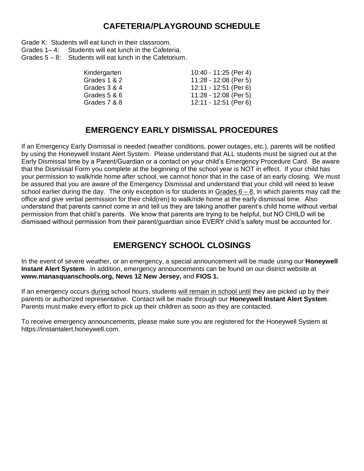### **CAFETERIA/PLAYGROUND SCHEDULE**

<span id="page-14-0"></span>Grade K: Students will eat lunch in their classroom.<br>Grades 1–4: Students will eat lunch in the Cafete

- Students will eat lunch in the Cafeteria.
- Grades 5 8: Students will eat lunch in the Cafetorium.

| Kindergarten | 10:40 - 11:25 (Per 4) |
|--------------|-----------------------|
| Grades 1 & 2 | 11:28 - 12:08 (Per 5) |
| Grades 3 & 4 | 12:11 - 12:51 (Per 6) |
| Grades 5 & 6 | 11:28 - 12:08 (Per 5) |
| Grades 7 & 8 | 12:11 - 12:51 (Per 6) |
|              |                       |

# **EMERGENCY EARLY DISMISSAL PROCEDURES**

<span id="page-14-1"></span>If an Emergency Early Dismissal is needed (weather conditions, power outages, etc.), parents will be notified by using the Honeywell Instant Alert System. Please understand that ALL students must be signed out at the Early Dismissal time by a Parent/Guardian or a contact on your child's Emergency Procedure Card. Be aware that the Dismissal Form you complete at the beginning of the school year is NOT in effect. If your child has your permission to walk/ride home after school, we cannot honor that in the case of an early closing. We must be assured that you are aware of the Emergency Dismissal and understand that your child will need to leave school earlier during the day. The only exception is for students in Grades  $6 - 8$ , in which parents may call the office and give verbal permission for their child(ren) to walk/ride home at the early dismissal time. Also understand that parents cannot come in and tell us they are taking another parent's child home without verbal permission from that child's parents. We know that parents are trying to be helpful, but NO CHILD will be dismissed without permission from their parent/guardian since EVERY child's safety must be accounted for.

# **EMERGENCY SCHOOL CLOSINGS**

<span id="page-14-2"></span>In the event of severe weather, or an emergency, a special announcement will be made using our **Honeywell Instant Alert System**. In addition, emergency announcements can be found on our district website at **www.manasquanschools.org, News 12 New Jersey,** and **FIOS 1.**

If an emergency occurs during school hours, students will remain in school until they are picked up by their parents or authorized representative. Contact will be made through our **Honeywell Instant Alert System**. Parents must make every effort to pick up their children as soon as they are contacted.

To receive emergency announcements, please make sure you are registered for the Honeywell System at https://instantalert.honeywell.com.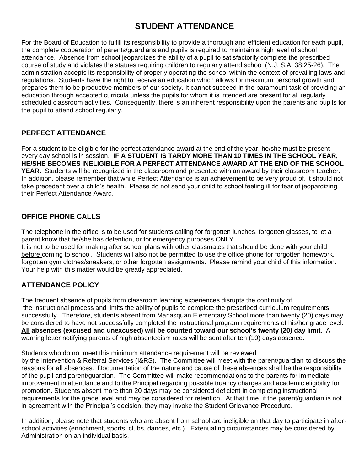# **STUDENT ATTENDANCE**

<span id="page-15-0"></span>For the Board of Education to fulfill its responsibility to provide a thorough and efficient education for each pupil, the complete cooperation of parents/guardians and pupils is required to maintain a high level of school attendance. Absence from school jeopardizes the ability of a pupil to satisfactorily complete the prescribed course of study and violates the statues requiring children to regularly attend school (N.J. S.A. 38:25-26). The administration accepts its responsibility of properly operating the school within the context of prevailing laws and regulations. Students have the right to receive an education which allows for maximum personal growth and prepares them to be productive members of our society. It cannot succeed in the paramount task of providing an education through accepted curricula unless the pupils for whom it is intended are present for all regularly scheduled classroom activities. Consequently, there is an inherent responsibility upon the parents and pupils for the pupil to attend school regularly.

### <span id="page-15-1"></span>**PERFECT ATTENDANCE**

For a student to be eligible for the perfect attendance award at the end of the year, he/she must be present every day school is in session. **IF A STUDENT IS TARDY MORE THAN 10 TIMES IN THE SCHOOL YEAR, HE/SHE BECOMES INELIGIBLE FOR A PERFECT ATTENDANCE AWARD AT THE END OF THE SCHOOL YEAR.** Students will be recognized in the classroom and presented with an award by their classroom teacher. In addition, please remember that while Perfect Attendance is an achievement to be very proud of, it should not take precedent over a child's health. Please do not send your child to school feeling ill for fear of jeopardizing their Perfect Attendance Award.

### <span id="page-15-2"></span>**OFFICE PHONE CALLS**

The telephone in the office is to be used for students calling for forgotten lunches, forgotten glasses, to let a parent know that he/she has detention, or for emergency purposes ONLY.

It is not to be used for making after school plans with other classmates that should be done with your child before coming to school. Students will also not be permitted to use the office phone for forgotten homework, forgotten gym clothes/sneakers, or other forgotten assignments. Please remind your child of this information. Your help with this matter would be greatly appreciated.

### <span id="page-15-3"></span>**ATTENDANCE POLICY**

The frequent absence of pupils from classroom learning experiences disrupts the continuity of the instructional process and limits the ability of pupils to complete the prescribed curriculum requirements successfully. Therefore, students absent from Manasquan Elementary School more than twenty (20) days may be considered to have not successfully completed the instructional program requirements of his/her grade level. **All absences (excused and unexcused) will be counted toward our school's twenty (20) day limit**. A warning letter notifying parents of high absenteeism rates will be sent after ten (10) days absence.

Students who do not meet this minimum attendance requirement will be reviewed

by the Intervention & Referral Services (I&RS). The Committee will meet with the parent/guardian to discuss the reasons for all absences. Documentation of the nature and cause of these absences shall be the responsibility of the pupil and parent/guardian. The Committee will make recommendations to the parents for immediate improvement in attendance and to the Principal regarding possible truancy charges and academic eligibility for promotion. Students absent more than 20 days may be considered deficient in completing instructional requirements for the grade level and may be considered for retention. At that time, if the parent/guardian is not in agreement with the Principal's decision, they may invoke the Student Grievance Procedure.

In addition, please note that students who are absent from school are ineligible on that day to participate in afterschool activities (enrichment, sports, clubs, dances, etc.). Extenuating circumstances may be considered by Administration on an individual basis.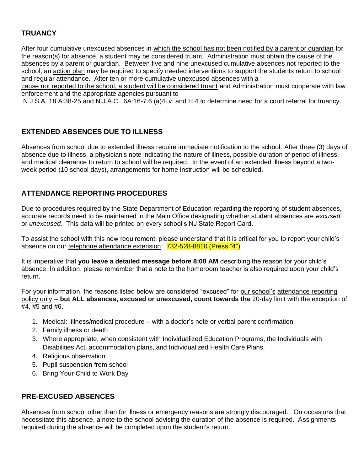### <span id="page-16-0"></span>**TRUANCY**

After four cumulative unexcused absences in which the school has not been notified by a parent or guardian for the reason(s) for absence, a student may be considered truant. Administration must obtain the cause of the absences by a parent or guardian. Between five and nine unexcused cumulative absences not reported to the school, an action plan may be required to specify needed interventions to support the students return to school and regular attendance. After ten or more cumulative unexcused absences with a

cause not reported to the school, a student will be considered truant and Administration must cooperate with law enforcement and the appropriate agencies pursuant to

N.J.S.A. 18 A:38-25 and N.J.A.C. 6A:16-7.6 (a)4i.v. and H.4 to determine need for a court referral for truancy.

### <span id="page-16-1"></span>**EXTENDED ABSENCES DUE TO ILLNESS**

Absences from school due to extended illness require immediate notification to the school. After three (3) days of absence due to illness, a physician's note indicating the nature of illness, possible duration of period of illness, and medical clearance to return to school will be required. In the event of an extended illness beyond a twoweek period (10 school days), arrangements for home instruction will be scheduled.

### <span id="page-16-2"></span>**ATTENDANCE REPORTING PROCEDURES**

Due to procedures required by the State Department of Education regarding the reporting of student absences, accurate records need to be maintained in the Main Office designating whether student absences are *excused*  or *unexcused*. This data will be printed on every school's NJ State Report Card.

To assist the school with this new requirement, please understand that it is critical for you to report your child's absence on our telephone attendance extension: 732-528-8810 (Press "4")

It is imperative that **you leave a detailed message before 8:00 AM** describing the reason for your child's absence. In addition, please remember that a note to the homeroom teacher is also required upon your child's return.

For your information, the reasons listed below are considered "excused" for our school's attendance reporting policy only -- **but ALL absences, excused or unexcused, count towards the** 20-day limit with the exception of #4, #5 and #6.

- 1. Medical: illness/medical procedure with a doctor's note or verbal parent confirmation
- 2. Family illness or death
- 3. Where appropriate, when consistent with Individualized Education Programs, the Individuals with Disabilities Act, accommodation plans, and Individualized Health Care Plans.
- 4. Religious observation
- 5. Pupil suspension from school
- 6. Bring Your Child to Work Day

#### <span id="page-16-3"></span>**PRE-EXCUSED ABSENCES**

Absences from school other than for illness or emergency reasons are strongly discouraged. On occasions that necessitate this absence, a note to the school advising the duration of the absence is required. Assignments required during the absence will be completed upon the student's return.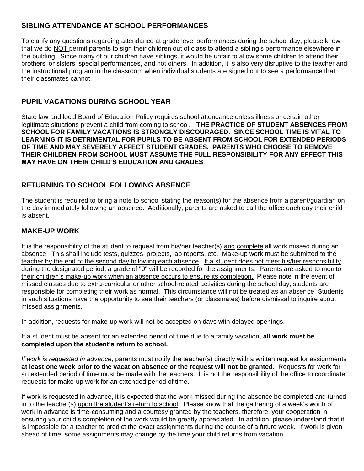### <span id="page-17-0"></span>**SIBLING ATTENDANCE AT SCHOOL PERFORMANCES**

To clarify any questions regarding attendance at grade level performances during the school day, please know that we do NOT permit parents to sign their children out of class to attend a sibling's performance elsewhere in the building. Since many of our children have siblings, it would be unfair to allow some children to attend their brothers' or sisters' special performances, and not others. In addition, it is also very disruptive to the teacher and the instructional program in the classroom when individual students are signed out to see a performance that their classmates cannot.

### <span id="page-17-1"></span>**PUPIL VACATIONS DURING SCHOOL YEAR**

State law and local Board of Education Policy requires school attendance unless illness or certain other legitimate situations prevent a child from coming to school. **THE PRACTICE OF STUDENT ABSENCES FROM SCHOOL FOR FAMILY VACATIONS IS STRONGLY DISCOURAGED**. **SINCE SCHOOL TIME IS VITAL TO LEARNING IT IS DETRIMENTAL FOR PUPILS TO BE ABSENT FROM SCHOOL FOR EXTENDED PERIODS OF TIME AND MAY SEVERELY AFFECT STUDENT GRADES. PARENTS WHO CHOOSE TO REMOVE THEIR CHILDREN FROM SCHOOL MUST ASSUME THE FULL RESPONSIBILITY FOR ANY EFFECT THIS MAY HAVE ON THEIR CHILD'S EDUCATION AND GRADES**.

### <span id="page-17-2"></span>**RETURNING TO SCHOOL FOLLOWING ABSENCE**

The student is required to bring a note to school stating the reason(s) for the absence from a parent/guardian on the day immediately following an absence. Additionally, parents are asked to call the office each day their child is absent.

### <span id="page-17-3"></span>**MAKE-UP WORK**

It is the responsibility of the student to request from his/her teacher(s) and complete all work missed during an absence. This shall include tests, quizzes, projects, lab reports, etc. Make-up work must be submitted to the teacher by the end of the second day following each absence. If a student does not meet his/her responsibility during the designated period, a grade of "0" will be recorded for the assignments. Parents are asked to monitor their children's make-up work when an absence occurs to ensure its completion. Please note in the event of missed classes due to extra-curricular or other school-related activities during the school day, students are responsible for completing their work as normal. This circumstance will not be treated as an absence! Students in such situations have the opportunity to see their teachers (or classmates) before dismissal to inquire about missed assignments.

In addition, requests for make-up work will not be accepted on days with delayed openings.

If a student must be absent for an extended period of time due to a family vacation, **all work must be completed upon the student's return to school.**

*If work is requested in advance*, parents must notify the teacher(s) directly with a written request for assignments **at least one week prior to the vacation absence or the request will not be granted.** Requests for work for an extended period of time must be made with the teachers. It is not the responsibility of the office to coordinate requests for make-up work for an extended period of time**.** 

If work is requested in advance, it is expected that the work missed during the absence be completed and turned in to the teacher(s) upon the student's return to school. Please know that the gathering of a week's worth of work in advance is time-consuming and a courtesy granted by the teachers, therefore, your cooperation in ensuring your child's completion of the work would be greatly appreciated. In addition, please understand that it is impossible for a teacher to predict the exact assignments during the course of a future week. If work is given ahead of time, some assignments may change by the time your child returns from vacation.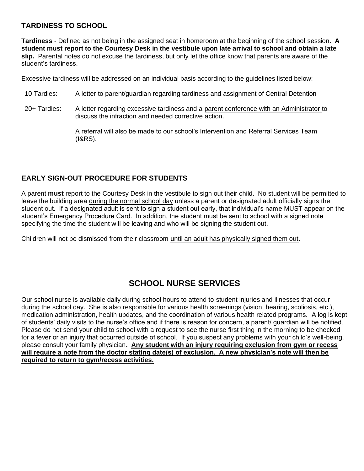### <span id="page-18-0"></span>**TARDINESS TO SCHOOL**

**Tardiness** - Defined as not being in the assigned seat in homeroom at the beginning of the school session. **A student must report to the Courtesy Desk in the vestibule upon late arrival to school and obtain a late slip.** Parental notes do not excuse the tardiness, but only let the office know that parents are aware of the student's tardiness.

Excessive tardiness will be addressed on an individual basis according to the guidelines listed below:

- 10 Tardies: A letter to parent/guardian regarding tardiness and assignment of Central Detention
- 20+ Tardies: A letter regarding excessive tardiness and a parent conference with an Administrator to discuss the infraction and needed corrective action.

A referral will also be made to our school's Intervention and Referral Services Team (I&RS).

### <span id="page-18-1"></span>**EARLY SIGN-OUT PROCEDURE FOR STUDENTS**

A parent **must** report to the Courtesy Desk in the vestibule to sign out their child. No student will be permitted to leave the building area during the normal school day unless a parent or designated adult officially signs the student out. If a designated adult is sent to sign a student out early, that individual's name MUST appear on the student's Emergency Procedure Card. In addition, the student must be sent to school with a signed note specifying the time the student will be leaving and who will be signing the student out.

Children will not be dismissed from their classroom until an adult has physically signed them out.

# **SCHOOL NURSE SERVICES**

<span id="page-18-2"></span>Our school nurse is available daily during school hours to attend to student injuries and illnesses that occur during the school day. She is also responsible for various health screenings (vision, hearing, scoliosis, etc.), medication administration, health updates, and the coordination of various health related programs. A log is kept of students' daily visits to the nurse's office and if there is reason for concern, a parent/ guardian will be notified. Please do not send your child to school with a request to see the nurse first thing in the morning to be checked for a fever or an injury that occurred outside of school. If you suspect any problems with your child's well-being, please consult your family physician**. Any student with an injury requiring exclusion from gym or recess will require a note from the doctor stating date(s) of exclusion. A new physician's note will then be required to return to gym/recess activities.**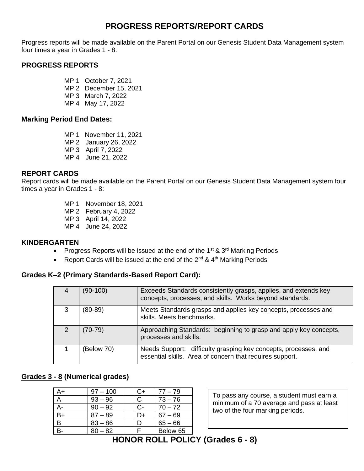### **PROGRESS REPORTS/REPORT CARDS**

<span id="page-19-0"></span>Progress reports will be made available on the Parent Portal on our Genesis Student Data Management system four times a year in Grades 1 - 8:

### <span id="page-19-1"></span>**PROGRESS REPORTS**

- MP 1 October 7, 2021
- MP 2 December 15, 2021
- MP 3 March 7, 2022
- MP 4 May 17, 2022

#### <span id="page-19-2"></span>**Marking Period End Dates:**

- MP 1 November 11, 2021
- MP 2 January 26, 2022
- MP 3 April 7, 2022
- MP 4 June 21, 2022

### <span id="page-19-3"></span>**REPORT CARDS**

Report cards will be made available on the Parent Portal on our Genesis Student Data Management system four times a year in Grades 1 - 8:

- MP 1 November 18, 2021
- MP 2 February 4, 2022
- MP 3 April 14, 2022
- MP 4 June 24, 2022

#### <span id="page-19-4"></span>**KINDERGARTEN**

- Progress Reports will be issued at the end of the 1<sup>st</sup> & 3<sup>rd</sup> Marking Periods
- Report Cards will be issued at the end of the  $2^{nd}$  &  $4^{th}$  Marking Periods

#### <span id="page-19-5"></span>**Grades K–2 (Primary Standards-Based Report Card):**

| $(90-100)$ | Exceeds Standards consistently grasps, applies, and extends key<br>concepts, processes, and skills. Works beyond standards. |
|------------|-----------------------------------------------------------------------------------------------------------------------------|
| $(80-89)$  | Meets Standards grasps and applies key concepts, processes and<br>skills. Meets benchmarks.                                 |
| $(70-79)$  | Approaching Standards: beginning to grasp and apply key concepts,<br>processes and skills.                                  |
| (Below 70) | Needs Support: difficulty grasping key concepts, processes, and<br>essential skills. Area of concern that requires support. |

### <span id="page-19-6"></span>**Grades 3 - 8 (Numerical grades)**

<span id="page-19-7"></span>

| A+   | $97 - 100$ | C+ | $77 - 79$ |
|------|------------|----|-----------|
|      | $93 - 96$  |    | $73 - 76$ |
|      | $90 - 92$  | င- | $70 - 72$ |
| $B+$ | $87 - 89$  | ר− | $67 - 69$ |
| B    | $83 - 86$  |    | $65 - 66$ |
|      | $80 - 82$  |    | Below 65  |

To pass any course, a student must earn a minimum of a 70 average and pass at least two of the four marking periods.

# **HONOR ROLL POLICY (Grades 6 - 8)**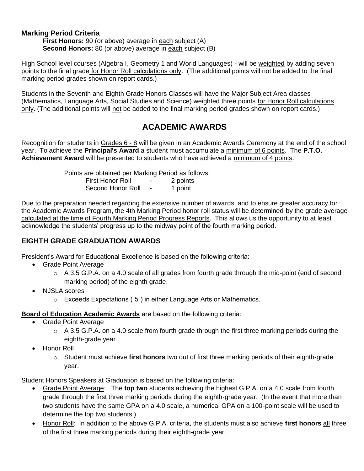### <span id="page-20-0"></span>**Marking Period Criteria**

**First Honors:** 90 (or above) average in each subject (A) **Second Honors:** 80 (or above) average in each subject (B)

High School level courses (Algebra I, Geometry 1 and World Languages) - will be weighted by adding seven points to the final grade for Honor Roll calculations only. (The additional points will not be added to the final marking period grades shown on report cards.)

Students in the Seventh and Eighth Grade Honors Classes will have the Major Subject Area classes (Mathematics, Language Arts, Social Studies and Science) weighted three points for Honor Roll calculations only. (The additional points will not be added to the final marking period grades shown on report cards.)

### **ACADEMIC AWARDS**

<span id="page-20-1"></span>Recognition for students in Grades 6 - 8 will be given in an Academic Awards Ceremony at the end of the school year. To achieve the **Principal's Award** a student must accumulate a minimum of 6 points. The **P.T.O. Achievement Award** will be presented to students who have achieved a minimum of 4 points.

> Points are obtained per Marking Period as follows: First Honor Roll - 2 points Second Honor Roll - 1 point

Due to the preparation needed regarding the extensive number of awards, and to ensure greater accuracy for the Academic Awards Program, the 4th Marking Period honor roll status will be determined by the grade average calculated at the time of Fourth Marking Period Progress Reports. This allows us the opportunity to at least acknowledge the students' progress up to the midway point of the fourth marking period.

### <span id="page-20-2"></span>**EIGHTH GRADE GRADUATION AWARDS**

President's Award for Educational Excellence is based on the following criteria:

- Grade Point Average
	- $\circ$  A 3.5 G.P.A. on a 4.0 scale of all grades from fourth grade through the mid-point (end of second marking period) of the eighth grade.
- NJSLA scores
	- $\circ$  Exceeds Expectations ("5") in either Language Arts or Mathematics.

#### **Board of Education Academic Awards** are based on the following criteria:

- Grade Point Average
	- o A 3.5 G.P.A. on a 4.0 scale from fourth grade through the first three marking periods during the eighth-grade year
- Honor Roll
	- o Student must achieve **first honors** two out of first three marking periods of their eighth-grade year.

Student Honors Speakers at Graduation is based on the following criteria:

- Grade Point Average: The **top two** students achieving the highest G.P.A. on a 4.0 scale from fourth grade through the first three marking periods during the eighth-grade year. (In the event that more than two students have the same GPA on a 4.0 scale, a numerical GPA on a 100-point scale will be used to determine the top two students.)
- Honor Roll: In addition to the above G.P.A. criteria, the students must also achieve **first honors** all three of the first three marking periods during their eighth-grade year.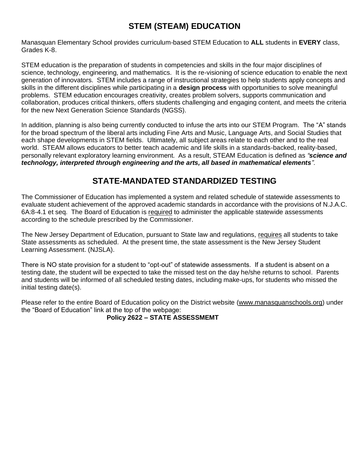# **STEM (STEAM) EDUCATION**

<span id="page-21-0"></span>Manasquan Elementary School provides curriculum-based STEM Education to **ALL** students in **EVERY** class, Grades K-8.

STEM education is the preparation of students in competencies and skills in the four major disciplines of science, technology, engineering, and mathematics. It is the re-visioning of science education to enable the next generation of innovators. STEM includes a range of instructional strategies to help students apply concepts and skills in the different disciplines while participating in a **design process** with opportunities to solve meaningful problems. STEM education encourages creativity, creates problem solvers, supports communication and collaboration, produces critical thinkers, offers students challenging and engaging content, and meets the criteria for the new Next Generation Science Standards (NGSS).

In addition, planning is also being currently conducted to infuse the arts into our STEM Program. The "A" stands for the broad spectrum of the liberal arts including Fine Arts and Music, Language Arts, and Social Studies that each shape developments in STEM fields. Ultimately, all subject areas relate to each other and to the real world. STEAM allows educators to better teach academic and life skills in a standards-backed, reality-based, personally relevant exploratory learning environment. As a result, STEAM Education is defined as *"science and technology, interpreted through engineering and the arts, all based in mathematical elements".* 

# **STATE-MANDATED STANDARDIZED TESTING**

<span id="page-21-1"></span>The Commissioner of Education has implemented a system and related schedule of statewide assessments to evaluate student achievement of the approved academic standards in accordance with the provisions of N.J.A.C. 6A:8-4.1 et seq. The Board of Education is required to administer the applicable statewide assessments according to the schedule prescribed by the Commissioner.

The New Jersey Department of Education, pursuant to State law and regulations, requires all students to take State assessments as scheduled. At the present time, the state assessment is the New Jersey Student Learning Assessment. (NJSLA).

There is NO state provision for a student to "opt-out" of statewide assessments. If a student is absent on a testing date, the student will be expected to take the missed test on the day he/she returns to school. Parents and students will be informed of all scheduled testing dates, including make-ups, for students who missed the initial testing date(s).

Please refer to the entire Board of Education policy on the District website [\(www.manasquanschools.org\)](http://www.manasquanschools.org/) under the "Board of Education" link at the top of the webpage:

#### **Policy 2622 – STATE ASSESSMEMT**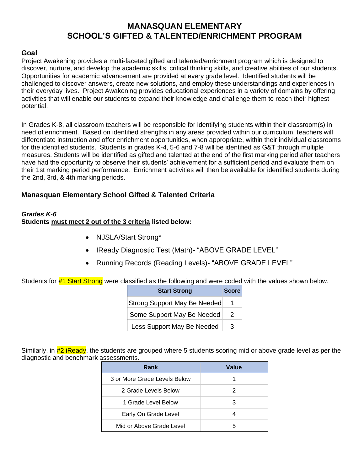### **MANASQUAN ELEMENTARY SCHOOL'S GIFTED & TALENTED/ENRICHMENT PROGRAM**

#### <span id="page-22-1"></span><span id="page-22-0"></span>**Goal**

Project Awakening provides a multi-faceted gifted and talented/enrichment program which is designed to discover, nurture, and develop the academic skills, critical thinking skills, and creative abilities of our students. Opportunities for academic advancement are provided at every grade level. Identified students will be challenged to discover answers, create new solutions, and employ these understandings and experiences in their everyday lives. Project Awakening provides educational experiences in a variety of domains by offering activities that will enable our students to expand their knowledge and challenge them to reach their highest potential.

In Grades K-8, all classroom teachers will be responsible for identifying students within their classroom(s) in need of enrichment. Based on identified strengths in any areas provided within our curriculum, teachers will differentiate instruction and offer enrichment opportunities, when appropriate, within their individual classrooms for the identified students. Students in grades K-4, 5-6 and 7-8 will be identified as G&T through multiple measures. Students will be identified as gifted and talented at the end of the first marking period after teachers have had the opportunity to observe their students' achievement for a sufficient period and evaluate them on their 1st marking period performance. Enrichment activities will then be available for identified students during the 2nd, 3rd, & 4th marking periods.

#### <span id="page-22-2"></span>**Manasquan Elementary School Gifted & Talented Criteria**

#### <span id="page-22-3"></span>*Grades K-6* **Students must meet 2 out of the 3 criteria listed below:**

- NJSLA/Start Strong\*
- IReady Diagnostic Test (Math)- "ABOVE GRADE LEVEL"
- Running Records (Reading Levels)- "ABOVE GRADE LEVEL"

Students for #1 Start Strong were classified as the following and were coded with the values shown below.

| <b>Start Strong</b>          | <b>Score</b> |
|------------------------------|--------------|
| Strong Support May Be Needed |              |
| Some Support May Be Needed   | 2            |
| Less Support May Be Needed   | 3            |

Similarly, in #2 iReady, the students are grouped where 5 students scoring mid or above grade level as per the diagnostic and benchmark assessments.

| Rank                         | Value |
|------------------------------|-------|
| 3 or More Grade Levels Below |       |
| 2 Grade Levels Below         |       |
| 1 Grade Level Below          | 3     |
| Early On Grade Level         |       |
| Mid or Above Grade Level     |       |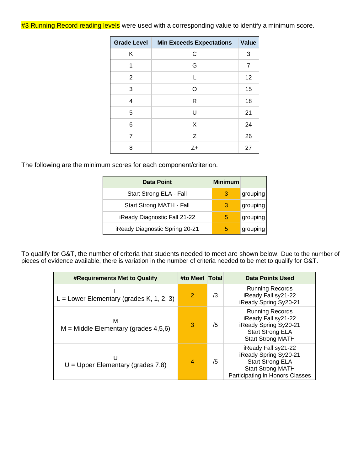#3 Running Record reading levels were used with a corresponding value to identify a minimum score.

| Grade Level | <b>Min Exceeds Expectations</b> | Value          |
|-------------|---------------------------------|----------------|
| Κ           | C                               | 3              |
| 1           | G                               | $\overline{7}$ |
| 2           | L                               | 12             |
| 3           | $\Omega$                        | 15             |
| 4           | R                               | 18             |
| 5           | U                               | 21             |
| 6           | X                               | 24             |
| 7           | Z                               | 26             |
| 8           | $Z+$                            | 27             |

The following are the minimum scores for each component/criterion.

| <b>Data Point</b>              | <b>Minimum</b> |          |
|--------------------------------|----------------|----------|
| Start Strong ELA - Fall        | З              | grouping |
| Start Strong MATH - Fall       | 8              | grouping |
| iReady Diagnostic Fall 21-22   | 5              | grouping |
| iReady Diagnostic Spring 20-21 | h              | grouping |

To qualify for G&T, the number of criteria that students needed to meet are shown below. Due to the number of pieces of evidence available, there is variation in the number of criteria needed to be met to qualify for G&T.

| <b>#Requirements Met to Qualify</b>         | #to Meet   Total |    | <b>Data Points Used</b>                                                                                                                |
|---------------------------------------------|------------------|----|----------------------------------------------------------------------------------------------------------------------------------------|
| L = Lower Elementary (grades K, 1, 2, 3)    | $\overline{2}$   | /3 | <b>Running Records</b><br>iReady Fall sy21-22<br>iReady Spring Sy20-21                                                                 |
| м<br>$M =$ Middle Elementary (grades 4,5,6) | 3                | /5 | Running Records<br>iReady Fall sy21-22<br>iReady Spring Sy20-21<br><b>Start Strong ELA</b><br><b>Start Strong MATH</b>                 |
| U<br>$U = U$ pper Elementary (grades 7,8)   | $\overline{4}$   | /5 | iReady Fall sy21-22<br>iReady Spring Sy20-21<br><b>Start Strong ELA</b><br><b>Start Strong MATH</b><br>Participating in Honors Classes |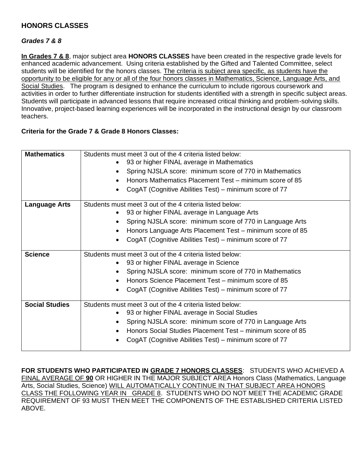### <span id="page-24-0"></span>**HONORS CLASSES**

### <span id="page-24-1"></span>*Grades 7 & 8*

**In Grades 7 & 8**, major subject area **HONORS CLASSES** have been created in the respective grade levels for enhanced academic advancement. Using criteria established by the Gifted and Talented Committee, select students will be identified for the honors classes. The criteria is subject area specific, as students have the opportunity to be eligible for any or all of the four honors classes in Mathematics, Science, Language Arts, and Social Studies. The program is designed to enhance the curriculum to include rigorous coursework and activities in order to further differentiate instruction for students identified with a strength in specific subject areas. Students will participate in advanced lessons that require increased critical thinking and problem-solving skills. Innovative, project-based learning experiences will be incorporated in the instructional design by our classroom teachers.

#### **Criteria for the Grade 7 & Grade 8 Honors Classes:**

| <b>Mathematics</b>    | Students must meet 3 out of the 4 criteria listed below:<br>93 or higher FINAL average in Mathematics<br>Spring NJSLA score: minimum score of 770 in Mathematics<br>Honors Mathematics Placement Test – minimum score of 85                                                                   |
|-----------------------|-----------------------------------------------------------------------------------------------------------------------------------------------------------------------------------------------------------------------------------------------------------------------------------------------|
|                       | CogAT (Cognitive Abilities Test) – minimum score of 77                                                                                                                                                                                                                                        |
| <b>Language Arts</b>  | Students must meet 3 out of the 4 criteria listed below:<br>93 or higher FINAL average in Language Arts<br>Spring NJSLA score: minimum score of 770 in Language Arts<br>Honors Language Arts Placement Test – minimum score of 85<br>CogAT (Cognitive Abilities Test) – minimum score of 77   |
| <b>Science</b>        | Students must meet 3 out of the 4 criteria listed below:<br>93 or higher FINAL average in Science<br>Spring NJSLA score: minimum score of 770 in Mathematics<br>Honors Science Placement Test – minimum score of 85<br>CogAT (Cognitive Abilities Test) – minimum score of 77                 |
| <b>Social Studies</b> | Students must meet 3 out of the 4 criteria listed below:<br>93 or higher FINAL average in Social Studies<br>Spring NJSLA score: minimum score of 770 in Language Arts<br>Honors Social Studies Placement Test - minimum score of 85<br>CogAT (Cognitive Abilities Test) – minimum score of 77 |

**FOR STUDENTS WHO PARTICIPATED IN GRADE 7 HONORS CLASSES**: STUDENTS WHO ACHIEVED A FINAL AVERAGE OF **90** OR HIGHER IN THE MAJOR SUBJECT AREA Honors Class (Mathematics, Language Arts, Social Studies, Science) WILL AUTOMATICALLY CONTINUE IN THAT SUBJECT AREA HONORS CLASS THE FOLLOWING YEAR IN GRADE 8. STUDENTS WHO DO NOT MEET THE ACADEMIC GRADE REQUIREMENT OF 93 MUST THEN MEET THE COMPONENTS OF THE ESTABLISHED CRITERIA LISTED ABOVE.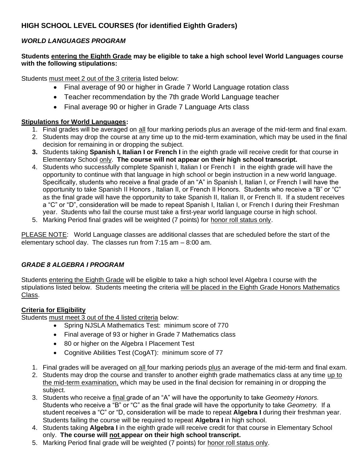### <span id="page-25-0"></span>**HIGH SCHOOL LEVEL COURSES (for identified Eighth Graders)**

#### <span id="page-25-1"></span>*WORLD LANGUAGES PROGRAM*

#### **Students entering the Eighth Grade may be eligible to take a high school level World Languages course with the following stipulations:**

Students must meet 2 out of the 3 criteria listed below:

- Final average of 90 or higher in Grade 7 World Language rotation class
- Teacher recommendation by the 7th grade World Language teacher
- Final average 90 or higher in Grade 7 Language Arts class

#### **Stipulations for World Languages:**

- 1. Final grades will be averaged on all four marking periods plus an average of the mid-term and final exam.
- 2. Students may drop the course at any time up to the mid-term examination, which may be used in the final decision for remaining in or dropping the subject.
- **3.** Students taking **Spanish I, Italian I or French I** in the eighth grade will receive credit for that course in Elementary School only. **The course will not appear on their high school transcript.**
- 4. Students who successfully complete Spanish I, Italian I or French I in the eighth grade will have the opportunity to continue with that language in high school or begin instruction in a new world language. Specifically, students who receive a final grade of an "A" in Spanish I, Italian I, or French I will have the opportunity to take Spanish II Honors , Italian II, or French II Honors. Students who receive a "B" or "C" as the final grade will have the opportunity to take Spanish II, Italian II, or French II. If a student receives a "C" or "D", consideration will be made to repeat Spanish I, Italian I, or French I during their Freshman year. Students who fail the course must take a first-year world language course in high school.
- 5. Marking Period final grades will be weighted (7 points) for honor roll status only.

PLEASE NOTE: World Language classes are additional classes that are scheduled before the start of the elementary school day. The classes run from 7:15 am – 8:00 am.

#### <span id="page-25-2"></span>*GRADE 8 ALGEBRA I PROGRAM*

Students entering the Eighth Grade will be eligible to take a high school level Algebra I course with the stipulations listed below. Students meeting the criteria will be placed in the Eighth Grade Honors Mathematics Class.

#### **Criteria for Eligibility**

Students must meet 3 out of the 4 listed criteria below:

- Spring NJSLA Mathematics Test: minimum score of 770
- Final average of 93 or higher in Grade 7 Mathematics class
- 80 or higher on the Algebra I Placement Test
- Cognitive Abilities Test (CogAT): minimum score of 77
- 1. Final grades will be averaged on all four marking periods plus an average of the mid-term and final exam.
- 2. Students may drop the course and transfer to another eighth grade mathematics class at any time up to the mid-term examination, which may be used in the final decision for remaining in or dropping the subject.
- 3. Students who receive a final grade of an "A" will have the opportunity to take *Geometry Honors.*  Students who receive a "B" or "C" as the final grade will have the opportunity to take *Geometry.* If a student receives a "C" or "D, consideration will be made to repeat **Algebra I** during their freshman year. Students failing the course will be required to repeat **Algebra I** in high school.
- 4. Students taking **Algebra I** in the eighth grade will receive credit for that course in Elementary School only. **The course will not appear on their high school transcript.**
- 5. Marking Period final grade will be weighted (7 points) for honor roll status only.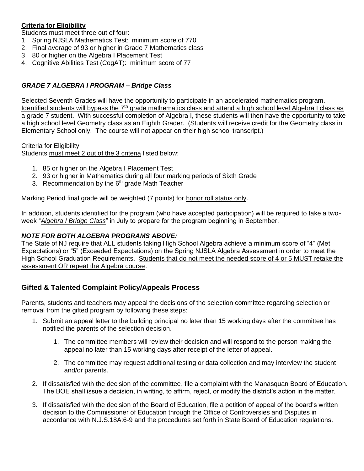#### **Criteria for Eligibility**

Students must meet three out of four:

- 1. Spring NJSLA Mathematics Test: minimum score of 770
- 2. Final average of 93 or higher in Grade 7 Mathematics class
- 3. 80 or higher on the Algebra I Placement Test
- 4. Cognitive Abilities Test (CogAT): minimum score of 77

#### <span id="page-26-0"></span>*GRADE 7 ALGEBRA I PROGRAM – Bridge Class*

Selected Seventh Grades will have the opportunity to participate in an accelerated mathematics program. Identified students will bypass the 7<sup>th</sup> grade mathematics class and attend a high school level Algebra I class as a grade 7 student. With successful completion of Algebra I, these students will then have the opportunity to take a high school level Geometry class as an Eighth Grader. (Students will receive credit for the Geometry class in Elementary School only. The course will not appear on their high school transcript.)

#### Criteria for Eligibility

Students must meet 2 out of the 3 criteria listed below:

- 1. 85 or higher on the Algebra I Placement Test
- 2. 93 or higher in Mathematics during all four marking periods of Sixth Grade
- 3. Recommendation by the  $6<sup>th</sup>$  grade Math Teacher

Marking Period final grade will be weighted (7 points) for honor roll status only.

In addition, students identified for the program (who have accepted participation) will be required to take a twoweek "*Algebra I Bridge Class*" in July to prepare for the program beginning in September.

#### <span id="page-26-1"></span>*NOTE FOR BOTH ALGEBRA PROGRAMS ABOVE:*

The State of NJ require that ALL students taking High School Algebra achieve a minimum score of "4" (Met Expectations) or "5" (Exceeded Expectations) on the Spring NJSLA Algebra Assessment in order to meet the High School Graduation Requirements. Students that do not meet the needed score of 4 or 5 MUST retake the assessment OR repeat the Algebra course.

#### <span id="page-26-2"></span>**Gifted & Talented Complaint Policy/Appeals Process**

Parents, students and teachers may appeal the decisions of the selection committee regarding selection or removal from the gifted program by following these steps:

- 1. Submit an appeal letter to the building principal no later than 15 working days after the committee has notified the parents of the selection decision.
	- 1. The committee members will review their decision and will respond to the person making the appeal no later than 15 working days after receipt of the letter of appeal.
	- 2. The committee may request additional testing or data collection and may interview the student and/or parents.
- 2. If dissatisfied with the decision of the committee, file a complaint with the Manasquan Board of Education. The BOE shall issue a decision, in writing, to affirm, reject, or modify the district's action in the matter.
- 3. If dissatisfied with the decision of the Board of Education, file a petition of appeal of the board's written decision to the Commissioner of Education through the Office of Controversies and Disputes in accordance with N.J.S.18A:6-9 and the procedures set forth in State Board of Education regulations.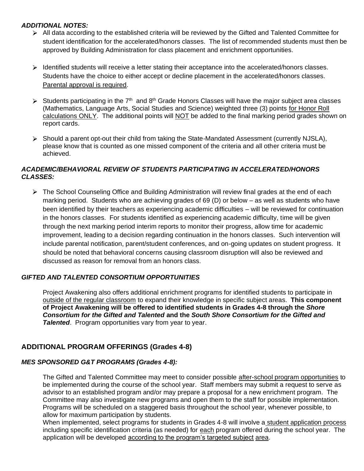#### <span id="page-27-0"></span>*ADDITIONAL NOTES:*

- $\triangleright$  All data according to the established criteria will be reviewed by the Gifted and Talented Committee for student identification for the accelerated/honors classes. The list of recommended students must then be approved by Building Administration for class placement and enrichment opportunities.
- $\triangleright$  Identified students will receive a letter stating their acceptance into the accelerated/honors classes. Students have the choice to either accept or decline placement in the accelerated/honors classes. Parental approval is required.
- Students participating in the  $7<sup>th</sup>$  and  $8<sup>th</sup>$  Grade Honors Classes will have the major subject area classes (Mathematics, Language Arts, Social Studies and Science) weighted three (3) points for Honor Roll calculations ONLY. The additional points will NOT be added to the final marking period grades shown on report cards.
- $\triangleright$  Should a parent opt-out their child from taking the State-Mandated Assessment (currently NJSLA), please know that is counted as one missed component of the criteria and all other criteria must be achieved.

#### <span id="page-27-1"></span>*ACADEMIC/BEHAVIORAL REVIEW OF STUDENTS PARTICIPATING IN ACCELERATED/HONORS CLASSES:*

 $\triangleright$  The School Counseling Office and Building Administration will review final grades at the end of each marking period. Students who are achieving grades of 69 (D) or below – as well as students who have been identified by their teachers as experiencing academic difficulties – will be reviewed for continuation in the honors classes. For students identified as experiencing academic difficulty, time will be given through the next marking period interim reports to monitor their progress, allow time for academic improvement, leading to a decision regarding continuation in the honors classes. Such intervention will include parental notification, parent/student conferences, and on-going updates on student progress. It should be noted that behavioral concerns causing classroom disruption will also be reviewed and discussed as reason for removal from an honors class.

#### <span id="page-27-2"></span>*GIFTED AND TALENTED CONSORTIUM OPPORTUNITIES*

Project Awakening also offers additional enrichment programs for identified students to participate in outside of the regular classroom to expand their knowledge in specific subject areas. **This component of Project Awakening will be offered to identified students in Grades 4-8 through the** *Shore Consortium for the Gifted and Talented* **and the** *South Shore Consortium for the Gifted and*  **Talented**. Program opportunities vary from year to year.

### <span id="page-27-3"></span>**ADDITIONAL PROGRAM OFFERINGS (Grades 4-8)**

#### <span id="page-27-4"></span>*MES SPONSORED G&T PROGRAMS (Grades 4-8):*

The Gifted and Talented Committee may meet to consider possible after-school program opportunities to be implemented during the course of the school year. Staff members may submit a request to serve as advisor to an established program and/or may prepare a proposal for a new enrichment program. The Committee may also investigate new programs and open them to the staff for possible implementation. Programs will be scheduled on a staggered basis throughout the school year, whenever possible, to allow for maximum participation by students.

When implemented, select programs for students in Grades 4-8 will involve a student application process including specific identification criteria (as needed) for each program offered during the school year. The application will be developed according to the program's targeted subject area.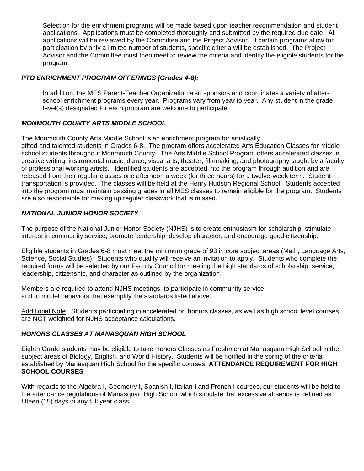Selection for the enrichment programs will be made based upon teacher recommendation and student applications. Applications must be completed thoroughly and submitted by the required due date. All applications will be reviewed by the Committee and the Project Advisor. If certain programs allow for participation by only a limited number of students, specific criteria will be established. The Project Advisor and the Committee must then meet to review the criteria and identify the eligible students for the program.

#### <span id="page-28-0"></span>*PTO ENRICHMENT PROGRAM OFFERINGS (Grades 4-8):*

In addition, the MES Parent-Teacher Organization also sponsors and coordinates a variety of afterschool enrichment programs every year. Programs vary from year to year. Any student in the grade level(s) designated for each program are welcome to participate.

#### <span id="page-28-1"></span>*MONMOUTH COUNTY ARTS MIDDLE SCHOOL*

The Monmouth County Arts Middle School is an enrichment program for artistically gifted and talented students in Grades 6-8. The program offers accelerated Arts Education Classes for middle school students throughout Monmouth County. The Arts Middle School Program offers accelerated classes in creative writing, instrumental music, dance, visual arts, theater, filmmaking, and photography taught by a faculty of professional working artists. Identified students are accepted into the program through audition and are released from their regular classes one afternoon a week (for three hours) for a twelve-week term. Student transportation is provided. The classes will be held at the Henry Hudson Regional School. Students accepted into the program must maintain passing grades in all MES classes to remain eligible for the program. Students are also responsible for making up regular classwork that is missed.

#### <span id="page-28-2"></span>*NATIONAL JUNIOR HONOR SOCIETY*

The purpose of the National Junior Honor Society (NJHS) is to create enthusiasm for scholarship, stimulate interest in community service, promote leadership, develop character, and encourage good citizenship.

Eligible students in Grades 6-8 must meet the minimum grade of 93 in core subject areas (Math, Language Arts, Science, Social Studies). Students who qualify will receive an invitation to apply. Students who complete the required forms will be selected by our Faculty Council for meeting the high standards of scholarship, service, leadership, citizenship, and character as outlined by the organization.

Members are required to attend NJHS meetings, to participate in community service, and to model behaviors that exemplify the standards listed above.

Additional Note: Students participating in accelerated or, honors classes, as well as high school level courses are NOT weighted for NJHS acceptance calculations.

#### <span id="page-28-3"></span>*HONORS CLASSES AT MANASQUAN HIGH SCHOOL*

Eighth Grade students may be eligible to take Honors Classes as Freshmen at Manasquan High School in the subject areas of Biology, English, and World History. Students will be notified in the spring of the criteria established by Manasquan High School for the specific courses. **ATTENDANCE REQUIREMENT FOR HIGH SCHOOL COURSES**

With regards to the Algebra I, Geometry I, Spanish I, Italian I and French I courses, our students will be held to the attendance regulations of Manasquan High School which stipulate that excessive absence is defined as fifteen (15) days in any full year class.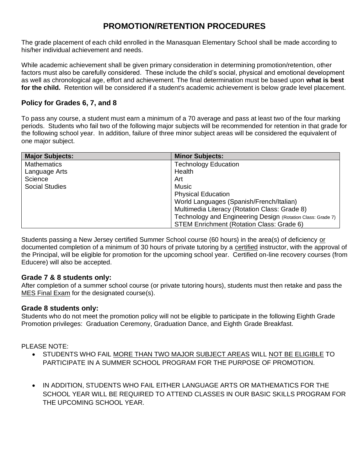# **PROMOTION/RETENTION PROCEDURES**

<span id="page-29-0"></span>The grade placement of each child enrolled in the Manasquan Elementary School shall be made according to his/her individual achievement and needs.

While academic achievement shall be given primary consideration in determining promotion/retention, other factors must also be carefully considered. These include the child's social, physical and emotional development as well as chronological age, effort and achievement. The final determination must be based upon **what is best for the child.** Retention will be considered if a student's academic achievement is below grade level placement.

### <span id="page-29-1"></span>**Policy for Grades 6, 7, and 8**

To pass any course, a student must earn a minimum of a 70 average and pass at least two of the four marking periods. Students who fail two of the following major subjects will be recommended for retention in that grade for the following school year. In addition, failure of three minor subject areas will be considered the equivalent of one major subject.

| <b>Major Subjects:</b> | <b>Minor Subjects:</b>                                      |
|------------------------|-------------------------------------------------------------|
| <b>Mathematics</b>     | <b>Technology Education</b>                                 |
| Language Arts          | Health                                                      |
| Science                | Art                                                         |
| <b>Social Studies</b>  | Music                                                       |
|                        | <b>Physical Education</b>                                   |
|                        | World Languages (Spanish/French/Italian)                    |
|                        | Multimedia Literacy (Rotation Class: Grade 8)               |
|                        | Technology and Engineering Design (Rotation Class: Grade 7) |
|                        | STEM Enrichment (Rotation Class: Grade 6)                   |

Students passing a New Jersey certified Summer School course (60 hours) in the area(s) of deficiency or documented completion of a minimum of 30 hours of private tutoring by a certified instructor, with the approval of the Principal, will be eligible for promotion for the upcoming school year. Certified on-line recovery courses (from Educere) will also be accepted.

#### <span id="page-29-2"></span>**Grade 7 & 8 students only:**

After completion of a summer school course (or private tutoring hours), students must then retake and pass the MES Final Exam for the designated course(s).

#### <span id="page-29-3"></span>**Grade 8 students only:**

Students who do not meet the promotion policy will not be eligible to participate in the following Eighth Grade Promotion privileges: Graduation Ceremony, Graduation Dance, and Eighth Grade Breakfast.

#### PLEASE NOTE:

- STUDENTS WHO FAIL MORE THAN TWO MAJOR SUBJECT AREAS WILL NOT BE ELIGIBLE TO PARTICIPATE IN A SUMMER SCHOOL PROGRAM FOR THE PURPOSE OF PROMOTION.
- IN ADDITION, STUDENTS WHO FAIL EITHER LANGUAGE ARTS OR MATHEMATICS FOR THE SCHOOL YEAR WILL BE REQUIRED TO ATTEND CLASSES IN OUR BASIC SKILLS PROGRAM FOR THE UPCOMING SCHOOL YEAR.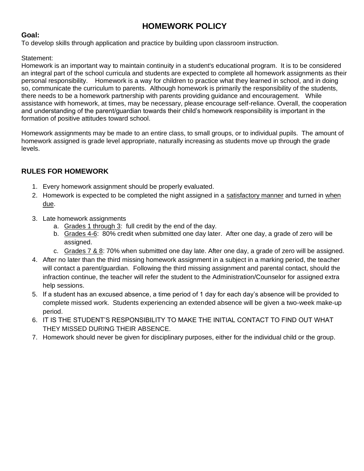# **HOMEWORK POLICY**

### <span id="page-30-1"></span><span id="page-30-0"></span>**Goal:**

To develop skills through application and practice by building upon classroom instruction.

#### Statement:

Homework is an important way to maintain continuity in a student's educational program. It is to be considered an integral part of the school curricula and students are expected to complete all homework assignments as their personal responsibility. Homework is a way for children to practice what they learned in school, and in doing so, communicate the curriculum to parents. Although homework is primarily the responsibility of the students, there needs to be a homework partnership with parents providing guidance and encouragement. While assistance with homework, at times, may be necessary, please encourage self-reliance. Overall, the cooperation and understanding of the parent/guardian towards their child's homework responsibility is important in the formation of positive attitudes toward school.

Homework assignments may be made to an entire class, to small groups, or to individual pupils. The amount of homework assigned is grade level appropriate, naturally increasing as students move up through the grade levels.

### <span id="page-30-2"></span>**RULES FOR HOMEWORK**

- 1. Every homework assignment should be properly evaluated.
- 2. Homework is expected to be completed the night assigned in a satisfactory manner and turned in when due.
- 3. Late homework assignments
	- a. Grades 1 through 3: full credit by the end of the day.
	- b. Grades 4-6: 80% credit when submitted one day later. After one day, a grade of zero will be assigned.
	- c. Grades 7 & 8: 70% when submitted one day late. After one day, a grade of zero will be assigned.
- 4. After no later than the third missing homework assignment in a subject in a marking period, the teacher will contact a parent/guardian. Following the third missing assignment and parental contact, should the infraction continue, the teacher will refer the student to the Administration/Counselor for assigned extra help sessions.
- 5. If a student has an excused absence, a time period of 1 day for each day's absence will be provided to complete missed work. Students experiencing an extended absence will be given a two-week make-up period.
- 6. IT IS THE STUDENT'S RESPONSIBILITY TO MAKE THE INITIAL CONTACT TO FIND OUT WHAT THEY MISSED DURING THEIR ABSENCE.
- 7. Homework should never be given for disciplinary purposes, either for the individual child or the group.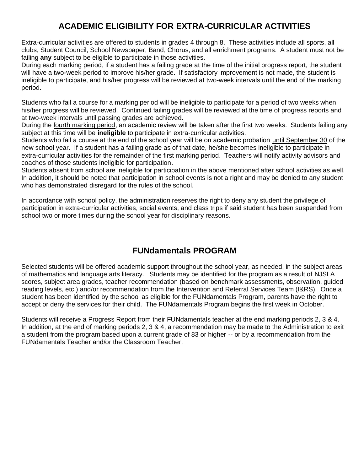# **ACADEMIC ELIGIBILITY FOR EXTRA-CURRICULAR ACTIVITIES**

<span id="page-31-0"></span>Extra-curricular activities are offered to students in grades 4 through 8. These activities include all sports, all clubs, Student Council, School Newspaper, Band, Chorus, and all enrichment programs. A student must not be failing **any** subject to be eligible to participate in those activities.

During each marking period, if a student has a failing grade at the time of the initial progress report, the student will have a two-week period to improve his/her grade. If satisfactory improvement is not made, the student is ineligible to participate, and his/her progress will be reviewed at two-week intervals until the end of the marking period.

Students who fail a course for a marking period will be ineligible to participate for a period of two weeks when his/her progress will be reviewed. Continued failing grades will be reviewed at the time of progress reports and at two-week intervals until passing grades are achieved.

During the fourth marking period, an academic review will be taken after the first two weeks. Students failing any subject at this time will be **ineligible** to participate in extra-curricular activities.

Students who fail a course at the end of the school year will be on academic probation until September 30 of the new school year. If a student has a failing grade as of that date, he/she becomes ineligible to participate in extra-curricular activities for the remainder of the first marking period. Teachers will notify activity advisors and coaches of those students ineligible for participation.

Students absent from school are ineligible for participation in the above mentioned after school activities as well. In addition, it should be noted that participation in school events is not a right and may be denied to any student who has demonstrated disregard for the rules of the school.

In accordance with school policy, the administration reserves the right to deny any student the privilege of participation in extra-curricular activities, social events, and class trips if said student has been suspended from school two or more times during the school year for disciplinary reasons.

# **FUNdamentals PROGRAM**

<span id="page-31-1"></span>Selected students will be offered academic support throughout the school year, as needed, in the subject areas of mathematics and language arts literacy. Students may be identified for the program as a result of NJSLA scores, subject area grades, teacher recommendation (based on benchmark assessments, observation, guided reading levels, etc.) and/or recommendation from the Intervention and Referral Services Team (I&RS). Once a student has been identified by the school as eligible for the FUNdamentals Program, parents have the right to accept or deny the services for their child. The FUNdamentals Program begins the first week in October.

Students will receive a Progress Report from their FUNdamentals teacher at the end marking periods 2, 3 & 4. In addition, at the end of marking periods 2, 3 & 4, a recommendation may be made to the Administration to exit a student from the program based upon a current grade of 83 or higher -- or by a recommendation from the FUNdamentals Teacher and/or the Classroom Teacher.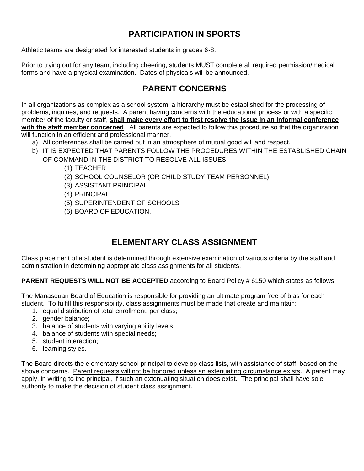# **PARTICIPATION IN SPORTS**

<span id="page-32-0"></span>Athletic teams are designated for interested students in grades 6-8.

Prior to trying out for any team, including cheering, students MUST complete all required permission/medical forms and have a physical examination. Dates of physicals will be announced.

# **PARENT CONCERNS**

<span id="page-32-1"></span>In all organizations as complex as a school system, a hierarchy must be established for the processing of problems, inquiries, and requests. A parent having concerns with the educational process or with a specific member of the faculty or staff, **shall make every effort to first resolve the issue in an informal conference with the staff member concerned**. All parents are expected to follow this procedure so that the organization will function in an efficient and professional manner.

- a) All conferences shall be carried out in an atmosphere of mutual good will and respect.
- b) IT IS EXPECTED THAT PARENTS FOLLOW THE PROCEDURES WITHIN THE ESTABLISHED CHAIN OF COMMAND IN THE DISTRICT TO RESOLVE ALL ISSUES:
	- (1) TEACHER
	- (2) SCHOOL COUNSELOR (OR CHILD STUDY TEAM PERSONNEL)
	- (3) ASSISTANT PRINCIPAL
	- (4) PRINCIPAL
	- (5) SUPERINTENDENT OF SCHOOLS
	- (6) BOARD OF EDUCATION.

# **ELEMENTARY CLASS ASSIGNMENT**

<span id="page-32-2"></span>Class placement of a student is determined through extensive examination of various criteria by the staff and administration in determining appropriate class assignments for all students.

**PARENT REQUESTS WILL NOT BE ACCEPTED** according to Board Policy # 6150 which states as follows:

The Manasquan Board of Education is responsible for providing an ultimate program free of bias for each student. To fulfill this responsibility, class assignments must be made that create and maintain:

- 1. equal distribution of total enrollment, per class;
- 2. gender balance;
- 3. balance of students with varying ability levels;
- 4. balance of students with special needs;
- 5. student interaction;
- 6. learning styles.

The Board directs the elementary school principal to develop class lists, with assistance of staff, based on the above concerns. Parent requests will not be honored unless an extenuating circumstance exists. A parent may apply, in writing to the principal, if such an extenuating situation does exist. The principal shall have sole authority to make the decision of student class assignment.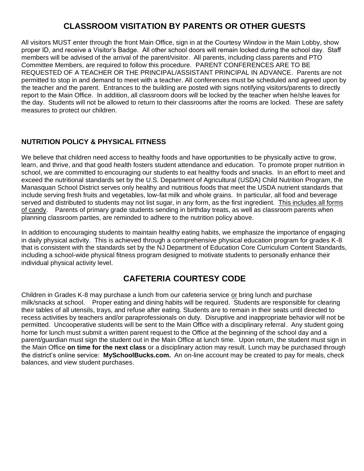# **CLASSROOM VISITATION BY PARENTS OR OTHER GUESTS**

<span id="page-33-0"></span>All visitors MUST enter through the front Main Office, sign in at the Courtesy Window in the Main Lobby, show proper ID, and receive a Visitor's Badge. All other school doors will remain locked during the school day. Staff members will be advised of the arrival of the parent/visitor. All parents, including class parents and PTO Committee Members, are required to follow this procedure. PARENT CONFERENCES ARE TO BE REQUESTED OF A TEACHER OR THE PRINCIPAL/ASSISTANT PRINCIPAL IN ADVANCE. Parents are not permitted to stop in and demand to meet with a teacher. All conferences must be scheduled and agreed upon by the teacher and the parent. Entrances to the building are posted with signs notifying visitors/parents to directly report to the Main Office. In addition, all classroom doors will be locked by the teacher when he/she leaves for the day. Students will not be allowed to return to their classrooms after the rooms are locked. These are safety measures to protect our children.

### <span id="page-33-1"></span>**NUTRITION POLICY & PHYSICAL FITNESS**

We believe that children need access to healthy foods and have opportunities to be physically active to grow, learn, and thrive, and that good health fosters student attendance and education. To promote proper nutrition in school, we are committed to encouraging our students to eat healthy foods and snacks. In an effort to meet and exceed the nutritional standards set by the U.S. Department of Agricultural (USDA) Child Nutrition Program, the Manasquan School District serves only healthy and nutritious foods that meet the USDA nutrient standards that include serving fresh fruits and vegetables, low-fat milk and whole grains. In particular, all food and beverage served and distributed to students may not list sugar, in any form, as the first ingredient. This includes all forms of candy. Parents of primary grade students sending in birthday treats, as well as classroom parents when planning classroom parties, are reminded to adhere to the nutrition policy above.

In addition to encouraging students to maintain healthy eating habits, we emphasize the importance of engaging in daily physical activity. This is achieved through a comprehensive physical education program for grades K-8 that is consistent with the standards set by the NJ Department of Education Core Curriculum Content Standards, including a school-wide physical fitness program designed to motivate students to personally enhance their individual physical activity level.

# **CAFETERIA COURTESY CODE**

<span id="page-33-2"></span>Children in Grades K-8 may purchase a lunch from our cafeteria service or bring lunch and purchase milk/snacks at school. Proper eating and dining habits will be required. Students are responsible for clearing their tables of all utensils, trays, and refuse after eating. Students are to remain in their seats until directed to recess activities by teachers and/or paraprofessionals on duty. Disruptive and inappropriate behavior will not be permitted. Uncooperative students will be sent to the Main Office with a disciplinary referral. Any student going home for lunch must submit a written parent request to the Office at the beginning of the school day and a parent/guardian must sign the student out in the Main Office at lunch time. Upon return, the student must sign in the Main Office **on time for the next class** or a disciplinary action may result. Lunch may be purchased through the district's online service: **MySchoolBucks.com.** An on-line account may be created to pay for meals, check balances, and view student purchases.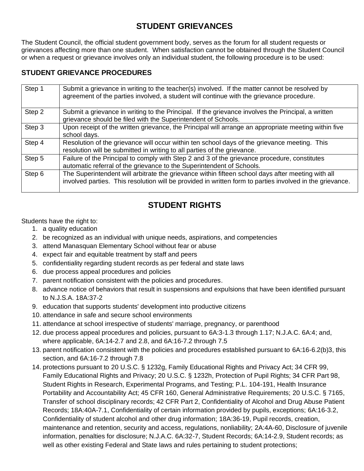# **STUDENT GRIEVANCES**

<span id="page-34-0"></span>The Student Council, the official student government body, serves as the forum for all student requests or grievances affecting more than one student. When satisfaction cannot be obtained through the Student Council or when a request or grievance involves only an individual student, the following procedure is to be used:

### <span id="page-34-1"></span>**STUDENT GRIEVANCE PROCEDURES**

| Step 1 | Submit a grievance in writing to the teacher(s) involved. If the matter cannot be resolved by<br>agreement of the parties involved, a student will continue with the grievance procedure.                     |
|--------|---------------------------------------------------------------------------------------------------------------------------------------------------------------------------------------------------------------|
| Step 2 | Submit a grievance in writing to the Principal. If the grievance involves the Principal, a written<br>grievance should be filed with the Superintendent of Schools.                                           |
| Step 3 | Upon receipt of the written grievance, the Principal will arrange an appropriate meeting within five<br>school days.                                                                                          |
| Step 4 | Resolution of the grievance will occur within ten school days of the grievance meeting. This<br>resolution will be submitted in writing to all parties of the grievance.                                      |
| Step 5 | Failure of the Principal to comply with Step 2 and 3 of the grievance procedure, constitutes<br>automatic referral of the grievance to the Superintendent of Schools.                                         |
| Step 6 | The Superintendent will arbitrate the grievance within fifteen school days after meeting with all<br>involved parties. This resolution will be provided in written form to parties involved in the grievance. |

# **STUDENT RIGHTS**

<span id="page-34-2"></span>Students have the right to:

- 1. a quality education
- 2. be recognized as an individual with unique needs, aspirations, and competencies
- 3. attend Manasquan Elementary School without fear or abuse
- 4. expect fair and equitable treatment by staff and peers
- 5. confidentiality regarding student records as per federal and state laws
- 6. due process appeal procedures and policies
- 7. parent notification consistent with the policies and procedures.
- 8. advance notice of behaviors that result in suspensions and expulsions that have been identified pursuant to N.J.S.A. 18A:37-2
- 9. education that supports students' development into productive citizens
- 10. attendance in safe and secure school environments
- 11. attendance at school irrespective of students' marriage, pregnancy, or parenthood
- 12. due process appeal procedures and policies, pursuant to 6A:3-1.3 through 1.17; N.J.A.C. 6A:4; and, where applicable, 6A:14-2.7 and 2.8, and 6A:16-7.2 through 7.5
- 13. parent notification consistent with the policies and procedures established pursuant to 6A:16-6.2(b)3, this section, and 6A:16-7.2 through 7.8
- 14. protections pursuant to 20 U.S.C. § 1232g, Family Educational Rights and Privacy Act; 34 CFR 99, Family Educational Rights and Privacy; 20 U.S.C. § 1232h, Protection of Pupil Rights; 34 CFR Part 98, Student Rights in Research, Experimental Programs, and Testing; P.L. 104-191, Health Insurance Portability and Accountability Act; 45 CFR 160, General Administrative Requirements; 20 U.S.C. § 7165, Transfer of school disciplinary records; 42 CFR Part 2, Confidentiality of Alcohol and Drug Abuse Patient Records; 18A:40A-7.1, Confidentiality of certain information provided by pupils, exceptions; 6A:16-3.2, Confidentiality of student alcohol and other drug information; 18A:36-19, Pupil records, creation, maintenance and retention, security and access, regulations, nonliability; 2A:4A-60, Disclosure of juvenile information, penalties for disclosure; N.J.A.C. 6A:32-7, Student Records; 6A:14-2.9, Student records; as well as other existing Federal and State laws and rules pertaining to student protections;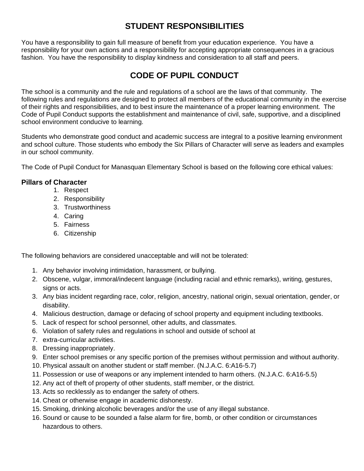# **STUDENT RESPONSIBILITIES**

<span id="page-35-0"></span>You have a responsibility to gain full measure of benefit from your education experience. You have a responsibility for your own actions and a responsibility for accepting appropriate consequences in a gracious fashion. You have the responsibility to display kindness and consideration to all staff and peers.

# **CODE OF PUPIL CONDUCT**

<span id="page-35-1"></span>The school is a community and the rule and regulations of a school are the laws of that community. The following rules and regulations are designed to protect all members of the educational community in the exercise of their rights and responsibilities, and to best insure the maintenance of a proper learning environment. The Code of Pupil Conduct supports the establishment and maintenance of civil, safe, supportive, and a disciplined school environment conducive to learning.

Students who demonstrate good conduct and academic success are integral to a positive learning environment and school culture. Those students who embody the Six Pillars of Character will serve as leaders and examples in our school community.

The Code of Pupil Conduct for Manasquan Elementary School is based on the following core ethical values:

### <span id="page-35-2"></span>**Pillars of Character**

- 1. Respect
- 2. Responsibility
- 3. Trustworthiness
- 4. Caring
- 5. Fairness
- 6. Citizenship

The following behaviors are considered unacceptable and will not be tolerated:

- 1. Any behavior involving intimidation, harassment, or bullying.
- 2. Obscene, vulgar, immoral/indecent language (including racial and ethnic remarks), writing, gestures, signs or acts.
- 3. Any bias incident regarding race, color, religion, ancestry, national origin, sexual orientation, gender, or disability.
- 4. Malicious destruction, damage or defacing of school property and equipment including textbooks.
- 5. Lack of respect for school personnel, other adults, and classmates.
- 6. Violation of safety rules and regulations in school and outside of school at
- 7. extra-curricular activities.
- 8. Dressing inappropriately.
- 9. Enter school premises or any specific portion of the premises without permission and without authority.
- 10. Physical assault on another student or staff member. (N.J.A.C. 6:A16-5.7)
- 11. Possession or use of weapons or any implement intended to harm others. (N.J.A.C. 6:A16-5.5)
- 12. Any act of theft of property of other students, staff member, or the district.
- 13. Acts so recklessly as to endanger the safety of others.
- 14. Cheat or otherwise engage in academic dishonesty.
- 15. Smoking, drinking alcoholic beverages and/or the use of any illegal substance.
- 16. Sound or cause to be sounded a false alarm for fire, bomb, or other condition or circumstances hazardous to others.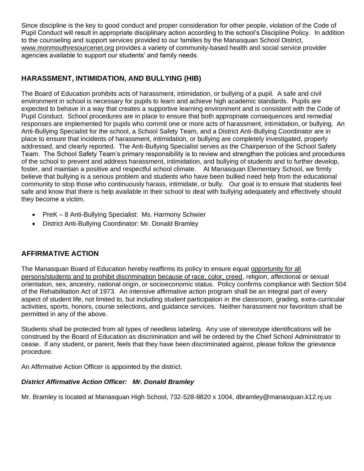Since discipline is the key to good conduct and proper consideration for other people, violation of the Code of Pupil Conduct will result in appropriate disciplinary action according to the school's Discipline Policy. In addition to the counseling and support services provided to our families by the Manasquan School District, [www.monmouthresourcenet.org](http://www.monmouthresourcenet.org/) provides a variety of community-based health and social service provider agencies available to support our students' and family needs.

### <span id="page-36-0"></span>**HARASSMENT, INTIMIDATION, AND BULLYING (HIB)**

The Board of Education prohibits acts of harassment, intimidation, or bullying of a pupil. A safe and civil environment in school is necessary for pupils to learn and achieve high academic standards. Pupils are expected to behave in a way that creates a supportive learning environment and is consistent with the Code of Pupil Conduct. School procedures are in place to ensure that both appropriate consequences and remedial responses are implemented for pupils who commit one or more acts of harassment, intimidation, or bullying. An Anti-Bullying Specialist for the school, a School Safety Team, and a District Anti-Bullying Coordinator are in place to ensure that incidents of harassment, intimidation, or bullying are completely investigated, properly addressed, and clearly reported. The Anti-Bullying Specialist serves as the Chairperson of the School Safety Team. The School Safety Team's primary responsibility is to review and strengthen the policies and procedures of the school to prevent and address harassment, intimidation, and bullying of students and to further develop, foster, and maintain a positive and respectful school climate. At Manasquan Elementary School, we firmly believe that bullying is a serious problem and students who have been bullied need help from the educational community to stop those who continuously harass, intimidate, or bully. Our goal is to ensure that students feel safe and know that there is help available in their school to deal with bullying adequately and effectively should they become a victim.

- PreK 8 Anti-Bullying Specialist: Ms. Harmony Schwier
- District Anti-Bullying Coordinator: Mr. Donald Bramley

### <span id="page-36-1"></span>**AFFIRMATIVE ACTION**

The Manasquan Board of Education hereby reaffirms its policy to ensure equal opportunity for all persons/students and to prohibit discrimination because of race, color, creed, religion, affectional or sexual orientation, sex, ancestry, national origin, or socioeconomic status. Policy confirms compliance with Section 504 of the Rehabilitation Act of 1973. An intensive affirmative action program shall be an integral part of every aspect of student life, not limited to, but including student participation in the classroom, grading, extra-curricular activities, sports, honors, course selections, and guidance services. Neither harassment nor favoritism shall be permitted in any of the above.

Students shall be protected from all types of needless labeling. Any use of stereotype identifications will be construed by the Board of Education as discrimination and will be ordered by the Chief School Administrator to cease. If any student, or parent, feels that they have been discriminated against, please follow the grievance procedure.

An Affirmative Action Officer is appointed by the district.

#### <span id="page-36-2"></span>*District Affirmative Action Officer: Mr. Donald Bramley*

Mr. Bramley is located at Manasquan High School, 732-528-8820 x 1004, dbramley@manasquan.k12.nj.us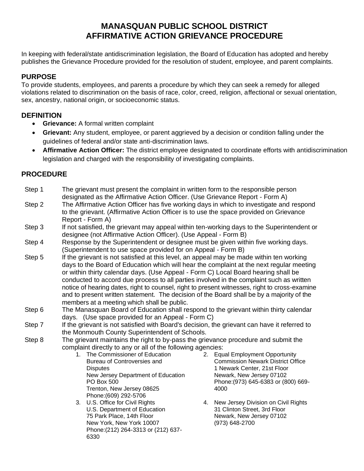# **MANASQUAN PUBLIC SCHOOL DISTRICT AFFIRMATIVE ACTION GRIEVANCE PROCEDURE**

<span id="page-37-1"></span><span id="page-37-0"></span>In keeping with federal/state antidiscrimination legislation, the Board of Education has adopted and hereby publishes the Grievance Procedure provided for the resolution of student, employee, and parent complaints.

### <span id="page-37-2"></span>**PURPOSE**

To provide students, employees, and parents a procedure by which they can seek a remedy for alleged violations related to discrimination on the basis of race, color, creed, religion, affectional or sexual orientation, sex, ancestry, national origin, or socioeconomic status.

### <span id="page-37-3"></span>**DEFINITION**

- **Grievance:** A formal written complaint
- **Grievant:** Any student, employee, or parent aggrieved by a decision or condition falling under the guidelines of federal and/or state anti-discrimination laws.
- **Affirmative Action Officer:** The district employee designated to coordinate efforts with antidiscrimination legislation and charged with the responsibility of investigating complaints.

### <span id="page-37-4"></span>**PROCEDURE**

- Step 1 The grievant must present the complaint in written form to the responsible person designated as the Affirmative Action Officer. (Use Grievance Report - Form A)
- Step 2 The Affirmative Action Officer has five working days in which to investigate and respond to the grievant. (Affirmative Action Officer is to use the space provided on Grievance Report - Form A)
- Step 3 If not satisfied, the grievant may appeal within ten-working days to the Superintendent or designee (not Affirmative Action Officer). (Use Appeal - Form B)
- Step 4 Response by the Superintendent or designee must be given within five working days. (Superintendent to use space provided for on Appeal - Form B)
- Step 5 If the grievant is not satisfied at this level, an appeal may be made within ten working days to the Board of Education which will hear the complaint at the next regular meeting or within thirty calendar days. (Use Appeal - Form C) Local Board hearing shall be conducted to accord due process to all parties involved in the complaint such as written notice of hearing dates, right to counsel, right to present witnesses, right to cross-examine and to present written statement. The decision of the Board shall be by a majority of the members at a meeting which shall be public.
- Step 6 The Manasquan Board of Education shall respond to the grievant within thirty calendar days. (Use space provided for an Appeal - Form C)
- Step 7 If the grievant is not satisfied with Board's decision, the grievant can have it referred to the Monmouth County Superintendent of Schools.
- Step 8 The grievant maintains the right to by-pass the grievance procedure and submit the complaint directly to any or all of the following agencies:
	- 1. The Commissioner of Education Bureau of Controversies and **Disputes** New Jersey Department of Education PO Box 500 Trenton, New Jersey 08625 Phone:(609) 292-5706
	- 3. U.S. Office for Civil Rights U.S. Department of Education 75 Park Place, 14th Floor New York, New York 10007 Phone:(212) 264-3313 or (212) 637- 6330
- 2. Equal Employment Opportunity Commission Newark District Office 1 Newark Center, 21st Floor Newark, New Jersey 07102 Phone:(973) 645-6383 or (800) 669- 4000
- 4. New Jersey Division on Civil Rights 31 Clinton Street, 3rd Floor Newark, New Jersey 07102 (973) 648-2700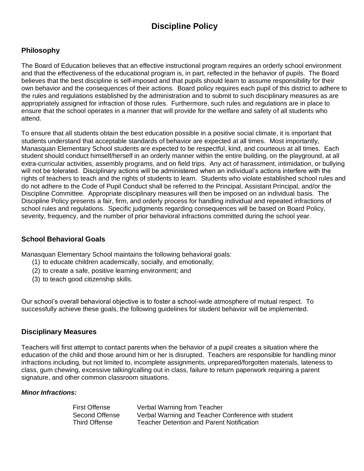# **Discipline Policy**

### <span id="page-38-1"></span><span id="page-38-0"></span>**Philosophy**

The Board of Education believes that an effective instructional program requires an orderly school environment and that the effectiveness of the educational program is, in part, reflected in the behavior of pupils. The Board believes that the best discipline is self-imposed and that pupils should learn to assume responsibility for their own behavior and the consequences of their actions. Board policy requires each pupil of this district to adhere to the rules and regulations established by the administration and to submit to such disciplinary measures as are appropriately assigned for infraction of those rules. Furthermore, such rules and regulations are in place to ensure that the school operates in a manner that will provide for the welfare and safety of all students who attend.

To ensure that all students obtain the best education possible in a positive social climate, it is important that students understand that acceptable standards of behavior are expected at all times*.* Most importantly, Manasquan Elementary School students are expected to be respectful, kind, and courteous at all times*.* Each student should conduct himself/herself in an orderly manner within the entire building, on the playground, at all extra-curricular activities, assembly programs, and on field trips. Any act of harassment, intimidation, or bullying will not be tolerated. Disciplinary actions will be administered when an individual's actions interfere with the rights of teachers to teach and the rights of students to learn. Students who violate established school rules and do not adhere to the Code of Pupil Conduct shall be referred to the Principal, Assistant Principal, and/or the Discipline Committee. Appropriate disciplinary measures will then be imposed on an individual basis. The Discipline Policy presents a fair, firm, and orderly process for handling individual and repeated infractions of school rules and regulations. Specific judgments regarding consequences will be based on Board Policy, severity, frequency, and the number of prior behavioral infractions committed during the school year.

### <span id="page-38-2"></span>**School Behavioral Goals**

Manasquan Elementary School maintains the following behavioral goals:

- (1) to educate children academically, socially, and emotionally;
- (2) to create a safe, positive learning environment; and
- (3) to teach good citizenship skills.

Our school's overall behavioral objective is to foster a school-wide atmosphere of mutual respect. To successfully achieve these goals, the following guidelines for student behavior will be implemented.

#### <span id="page-38-3"></span>**Disciplinary Measures**

Teachers will first attempt to contact parents when the behavior of a pupil creates a situation where the education of the child and those around him or her is disrupted. Teachers are responsible for handling minor infractions including, but not limited to, incomplete assignments, unprepared/forgotten materials, lateness to class, gum chewing, excessive talking/calling out in class, failure to return paperwork requiring a parent signature, and other common classroom situations.

#### <span id="page-38-4"></span>*Minor Infractions:*

| First Offense  | Verbal Warning from Teacher                        |
|----------------|----------------------------------------------------|
| Second Offense | Verbal Warning and Teacher Conference with student |
| Third Offense  | <b>Teacher Detention and Parent Notification</b>   |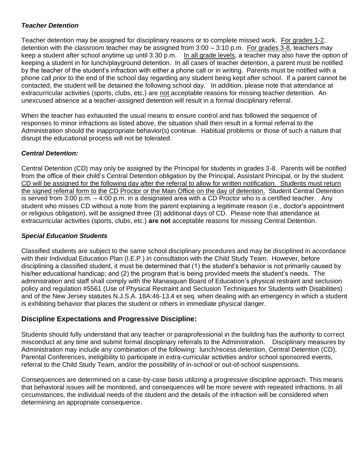#### <span id="page-39-0"></span>*Teacher Detention*

Teacher detention may be assigned for disciplinary reasons or to complete missed work. For grades 1-2, detention with the classroom teacher may be assigned from 3:00 – 3:10 p.m. For grades 3-8, teachers may keep a student after school anytime up until 3:30 p.m. In all grade levels, a teacher may also have the option of keeping a student in for lunch/playground detention. In all cases of teacher detention, a parent must be notified by the teacher of the student's infraction with either a phone call or in writing. Parents must be notified with a phone call *prior* to the end of the school day regarding any student being kept after school*.* If a parent cannot be contacted, the student will be detained the following school day. In addition, please note that attendance at extracurricular activities (sports, clubs, etc.) are not acceptable reasons for missing teacher detention. An unexcused absence at a teacher-assigned detention will result in a formal disciplinary referral.

When the teacher has exhausted the usual means to ensure control and has followed the sequence of responses to minor infractions as listed above, the situation shall then result in a formal referral to the Administration should the inappropriate behavior(s) continue. Habitual problems or those of such a nature that disrupt the educational process will not be tolerated.

#### <span id="page-39-1"></span>*Central Detention:*

Central Detention (CD) may only be assigned by the Principal for students in grades 3-8. Parents will be notified from the office of their child's Central Detention obligation by the Principal, Assistant Principal, or by the student. CD will be assigned for the following day after the referral to allow for written notification. Students must return the signed referral form to the CD Proctor or the Main Office on the day of detention. Student Central Detention is served from 3:00 p.m. – 4:00 p.m. in a designated area with a CD Proctor who is a certified teacher. Any student who misses CD without a note from the parent explaining a legitimate reason (i.e., doctor's appointment or religious obligation), will be assigned three (3) additional days of CD. Please note that attendance at extracurricular activities (sports, clubs, etc.) **are not** acceptable reasons for missing Central Detention.

#### <span id="page-39-2"></span>*Special Education Students*

Classified students are subject to the same school disciplinary procedures and may be disciplined in accordance with their Individual Education Plan (I.E.P.) in consultation with the Child Study Team. However, before disciplining a classified student, it must be determined that (1) the student's behavior is not primarily caused by his/her educational handicap; and (2) the program that is being provided meets the student's needs. The administration and staff shall comply with the Manasquan Board of Education's physical restraint and seclusion policy and regulation #5561 (Use of Physical Restraint and Seclusion Techniques for Students with Disabilities) and of the New Jersey statutes N.J.S.A. 18A:46-13.4 et seq. when dealing with an emergency in which a student is exhibiting behavior that places the student or others in immediate physical danger.

#### <span id="page-39-3"></span>**Discipline Expectations and Progressive Discipline:**

Students should fully understand that any teacher or paraprofessional in the building has the authority to correct misconduct at any time and submit formal disciplinary referrals to the Administration. Disciplinary measures by Administration may include any combination of the following: lunch/recess detention, Central Detention (CD), Parental Conferences, ineligibility to participate in extra-curricular activities and/or school sponsored events, referral to the Child Study Team, and/or the possibility of in-school or out-of-school suspensions.

Consequences are determined on a case-by-case basis utilizing a progressive discipline approach. This means that behavioral issues will be monitored, and consequences will be more severe with repeated infractions. In all circumstances, the individual needs of the student and the details of the infraction will be considered when determining an appropriate consequence.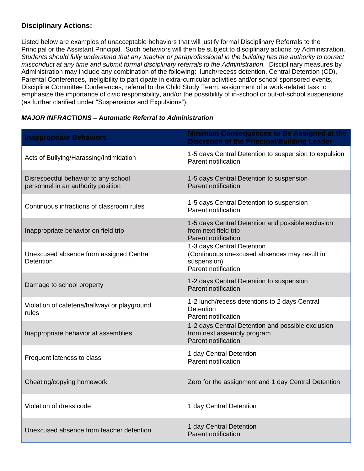### <span id="page-40-0"></span>**Disciplinary Actions:**

Listed below are examples of unacceptable behaviors that will justify formal Disciplinary Referrals to the Principal or the Assistant Principal. Such behaviors will then be subject to disciplinary actions by Administration. *Students should fully understand that any teacher or paraprofessional in the building has the authority to correct misconduct at any time and submit formal disciplinary referrals to the Administration.* Disciplinary measures by Administration may include any combination of the following: lunch/recess detention, Central Detention (CD), Parental Conferences, ineligibility to participate in extra-curricular activities and/or school sponsored events, Discipline Committee Conferences, referral to the Child Study Team, assignment of a work-related task to emphasize the importance of civic responsibility, and/or the possibility of in-school or out-of-school suspensions (as further clarified under "Suspensions and Expulsions").

#### <span id="page-40-1"></span>*MAJOR INFRACTIONS – Automatic Referral to Administration*

| <b>Inappropriate Behaviors</b>                                             | <b>Minimum Consequences to Be Assigned at the</b><br><b>Discretion of the Principal/Building Leader</b>          |
|----------------------------------------------------------------------------|------------------------------------------------------------------------------------------------------------------|
| Acts of Bullying/Harassing/Intimidation                                    | 1-5 days Central Detention to suspension to expulsion<br>Parent notification                                     |
| Disrespectful behavior to any school<br>personnel in an authority position | 1-5 days Central Detention to suspension<br>Parent notification                                                  |
| Continuous infractions of classroom rules                                  | 1-5 days Central Detention to suspension<br>Parent notification                                                  |
| Inappropriate behavior on field trip                                       | 1-5 days Central Detention and possible exclusion<br>from next field trip<br><b>Parent notification</b>          |
| Unexcused absence from assigned Central<br>Detention                       | 1-3 days Central Detention<br>(Continuous unexcused absences may result in<br>suspension)<br>Parent notification |
| Damage to school property                                                  | 1-2 days Central Detention to suspension<br>Parent notification                                                  |
| Violation of cafeteria/hallway/ or playground<br>rules                     | 1-2 lunch/recess detentions to 2 days Central<br>Detention<br>Parent notification                                |
| Inappropriate behavior at assemblies                                       | 1-2 days Central Detention and possible exclusion<br>from next assembly program<br><b>Parent notification</b>    |
| Frequent lateness to class                                                 | 1 day Central Detention<br>Parent notification                                                                   |
| Cheating/copying homework                                                  | Zero for the assignment and 1 day Central Detention                                                              |
| Violation of dress code                                                    | 1 day Central Detention                                                                                          |
| Unexcused absence from teacher detention                                   | 1 day Central Detention<br><b>Parent notification</b>                                                            |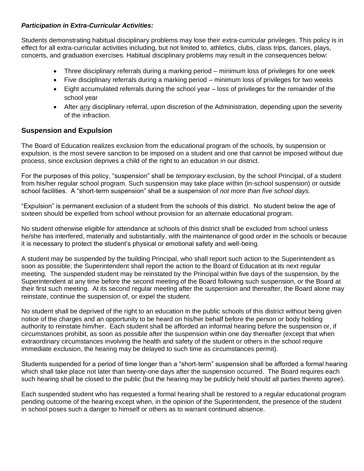#### <span id="page-41-0"></span>*Participation in Extra-Curricular Activities:*

Students demonstrating habitual disciplinary problems may lose their extra-curricular privileges. This policy is in effect for all extra-curricular activities including, but not limited to, athletics, clubs, class trips, dances, plays, concerts, and graduation exercises. Habitual disciplinary problems may result in the consequences below:

- Three disciplinary referrals during a marking period minimum loss of privileges for one week
- Five disciplinary referrals during a marking period minimum loss of privileges for two weeks
- Eight accumulated referrals during the school year loss of privileges for the remainder of the school year
- After any disciplinary referral, upon discretion of the Administration, depending upon the severity of the infraction.

#### <span id="page-41-1"></span>**Suspension and Expulsion**

The Board of Education realizes exclusion from the educational program of the schools, by suspension or expulsion, is the most severe sanction to be imposed on a student and one that cannot be imposed without due process, since exclusion deprives a child of the right to an education in our district.

For the purposes of this policy, "suspension" shall be *temporary* exclusion, by the school Principal, of a student from his/her regular school program. Such suspension may take place within (in-school suspension) or outside school facilities. A "short-term suspension" shall be a suspension of *not more than five school days.*

"Expulsion" is permanent exclusion of a student from the schools of this district. No student below the age of sixteen should be expelled from school without provision for an alternate educational program.

No student otherwise eligible for attendance at schools of this district shall be excluded from school unless he/she has interfered, materially and substantially, with the maintenance of good order in the schools or because it is necessary to protect the student's physical or emotional safety and well-being.

A student may be suspended by the building Principal, who shall report such action to the Superintendent as soon as possible; the Superintendent shall report the action to the Board of Education at its next regular meeting. The suspended student may be reinstated by the Principal within five days of the suspension, by the Superintendent at any time before the second meeting of the Board following such suspension, or the Board at their first such meeting. At its second regular meeting after the suspension and thereafter, the Board alone may reinstate, continue the suspension of, or expel the student.

No student shall be deprived of the right to an education in the public schools of this district without being given notice of the charges and an opportunity to be heard on his/her behalf before the person or body holding authority to reinstate him/her. Each student shall be afforded an informal hearing before the suspension or, if circumstances prohibit, as soon as possible after the suspension within one day thereafter (except that when extraordinary circumstances involving the health and safety of the student or others in the school require immediate exclusion, the hearing may be delayed to such time as circumstances permit).

Students suspended for a period of time longer than a "short-term" suspension shall be afforded a formal hearing which shall take place not later than twenty-one days after the suspension occurred. The Board requires each such hearing shall be closed to the public (but the hearing may be publicly held should all parties thereto agree).

Each suspended student who has requested a formal hearing shall be restored to a regular educational program pending outcome of the hearing except when, in the opinion of the Superintendent, the presence of the student in school poses such a danger to himself or others as to warrant continued absence.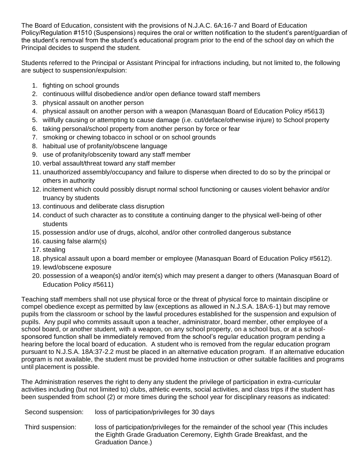The Board of Education, consistent with the provisions of N.J.A.C. 6A:16-7 and Board of Education Policy/Regulation #1510 (Suspensions) requires the oral or written notification to the student's parent/guardian of the student's removal from the student's educational program prior to the end of the school day on which the Principal decides to suspend the student.

Students referred to the Principal or Assistant Principal for infractions including, but not limited to, the following are subject to suspension/expulsion:

- 1. fighting on school grounds
- 2. continuous willful disobedience and/or open defiance toward staff members
- 3. physical assault on another person
- 4. physical assault on another person with a weapon (Manasquan Board of Education Policy #5613)
- 5. willfully causing or attempting to cause damage (i.e. cut/deface/otherwise injure) to School property
- 6. taking personal/school property from another person by force or fear
- 7. smoking or chewing tobacco in school or on school grounds
- 8. habitual use of profanity/obscene language
- 9. use of profanity/obscenity toward any staff member
- 10. verbal assault/threat toward any staff member
- 11. unauthorized assembly/occupancy and failure to disperse when directed to do so by the principal or others in authority
- 12. incitement which could possibly disrupt normal school functioning or causes violent behavior and/or truancy by students
- 13. continuous and deliberate class disruption
- 14. conduct of such character as to constitute a continuing danger to the physical well-being of other students
- 15. possession and/or use of drugs, alcohol, and/or other controlled dangerous substance
- 16. causing false alarm(s)
- 17. stealing
- 18. physical assault upon a board member or employee (Manasquan Board of Education Policy #5612).
- 19. lewd/obscene exposure
- 20. possession of a weapon(s) and/or item(s) which may present a danger to others (Manasquan Board of Education Policy #5611)

Teaching staff members shall not use physical force or the threat of physical force to maintain discipline or compel obedience except as permitted by law (exceptions as allowed in N.J.S.A. 18A:6-1) but may remove pupils from the classroom or school by the lawful procedures established for the suspension and expulsion of pupils. Any pupil who commits assault upon a teacher, administrator, board member, other employee of a school board, or another student, with a weapon, on any school property, on a school bus, or at a schoolsponsored function shall be immediately removed from the school's regular education program pending a hearing before the local board of education. A student who is removed from the regular education program pursuant to N.J.S.A. 18A:37-2.2 must be placed in an alternative education program. If an alternative education program is not available, the student must be provided home instruction or other suitable facilities and programs until placement is possible.

The Administration reserves the right to deny any student the privilege of participation in extra-curricular activities including (but not limited to) clubs, athletic events, social activities, and class trips if the student has been suspended from school (2) or more times during the school year for disciplinary reasons as indicated:

- Second suspension: loss of participation/privileges for 30 days
- Third suspension: loss of participation/privileges for the remainder of the school year (This includes the Eighth Grade Graduation Ceremony, Eighth Grade Breakfast, and the Graduation Dance.)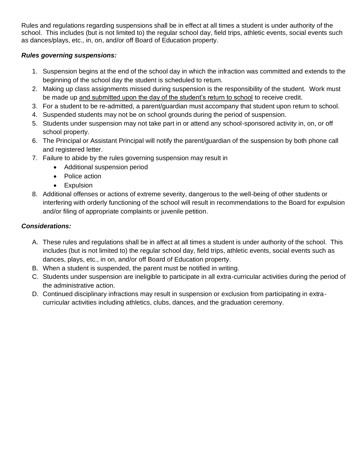Rules and regulations regarding suspensions shall be in effect at all times a student is under authority of the school. This includes (but is not limited to) the regular school day, field trips, athletic events, social events such as dances/plays, etc., in, on, and/or off Board of Education property.

### <span id="page-43-0"></span>*Rules governing suspensions:*

- 1. Suspension begins at the end of the school day in which the infraction was committed and extends to the beginning of the school day the student is scheduled to return.
- 2. Making up class assignments missed during suspension is the responsibility of the student. Work must be made up and submitted upon the day of the student's return to school to receive credit.
- 3. For a student to be re-admitted, a parent/guardian must accompany that student upon return to school.
- 4. Suspended students may not be on school grounds during the period of suspension.
- 5. Students under suspension may not take part in or attend any school-sponsored activity in, on, or off school property.
- 6. The Principal or Assistant Principal will notify the parent/guardian of the suspension by both phone call and registered letter.
- 7. Failure to abide by the rules governing suspension may result in
	- Additional suspension period
	- Police action
	- Expulsion
- 8. Additional offenses or actions of extreme severity, dangerous to the well-being of other students or interfering with orderly functioning of the school will result in recommendations to the Board for expulsion and/or filing of appropriate complaints or juvenile petition.

### <span id="page-43-1"></span>*Considerations:*

- A. These rules and regulations shall be in affect at all times a student is under authority of the school. This includes (but is not limited to) the regular school day, field trips, athletic events, social events such as dances, plays, etc., in on, and/or off Board of Education property.
- B. When a student is suspended, the parent must be notified in writing.
- C. Students under suspension are ineligible to participate in all extra-curricular activities during the period of the administrative action.
- D. Continued disciplinary infractions may result in suspension or exclusion from participating in extracurricular activities including athletics, clubs, dances, and the graduation ceremony.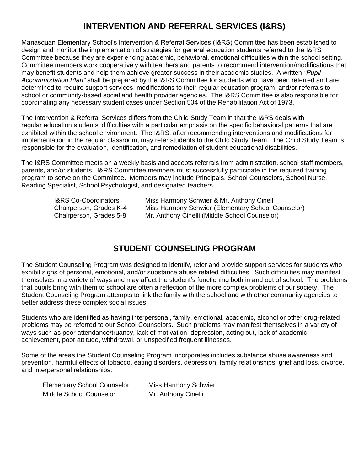# **INTERVENTION AND REFERRAL SERVICES (I&RS)**

<span id="page-44-0"></span>Manasquan Elementary School's Intervention & Referral Services (I&RS) Committee has been established to design and monitor the implementation of strategies for general education students referred to the I&RS Committee because they are experiencing academic, behavioral, emotional difficulties within the school setting. Committee members work cooperatively with teachers and parents to recommend intervention/modifications that may benefit students and help them achieve greater success in their academic studies. A written *"Pupil Accommodation Plan"* shall be prepared by the I&RS Committee for students who have been referred and are determined to require support services, modifications to their regular education program, and/or referrals to school or community-based social and health provider agencies. The I&RS Committee is also responsible for coordinating any necessary student cases under Section 504 of the Rehabilitation Act of 1973.

The Intervention & Referral Services differs from the Child Study Team in that the I&RS deals with regular education students' difficulties with a particular emphasis on the specific behavioral patterns that are exhibited within the school environment. The I&RS, after recommending interventions and modifications for implementation in the regular classroom, may refer students to the Child Study Team. The Child Study Team is responsible for the evaluation, identification, and remediation of student educational disabilities.

The I&RS Committee meets on a weekly basis and accepts referrals from administration, school staff members, parents, and/or students. I&RS Committee members must successfully participate in the required training program to serve on the Committee. Members may include Principals, School Counselors, School Nurse, Reading Specialist, School Psychologist, and designated teachers.

| <b>I&amp;RS Co-Coordinators</b> | Miss Harmony Schwier & Mr. Anthony Cinelli         |
|---------------------------------|----------------------------------------------------|
| Chairperson, Grades K-4         | Miss Harmony Schwier (Elementary School Counselor) |
| Chairperson, Grades 5-8         | Mr. Anthony Cinelli (Middle School Counselor)      |

# **STUDENT COUNSELING PROGRAM**

<span id="page-44-1"></span>The Student Counseling Program was designed to identify, refer and provide support services for students who exhibit signs of personal, emotional, and/or substance abuse related difficulties. Such difficulties may manifest themselves in a variety of ways and may affect the student's functioning both in and out of school. The problems that pupils bring with them to school are often a reflection of the more complex problems of our society. The Student Counseling Program attempts to link the family with the school and with other community agencies to better address these complex social issues.

Students who are identified as having interpersonal, family, emotional, academic, alcohol or other drug-related problems may be referred to our School Counselors. Such problems may manifest themselves in a variety of ways such as poor attendance/truancy, lack of motivation, depression, acting out, lack of academic achievement, poor attitude, withdrawal, or unspecified frequent illnesses.

Some of the areas the Student Counseling Program incorporates includes substance abuse awareness and prevention, harmful effects of tobacco, eating disorders, depression, family relationships, grief and loss, divorce, and interpersonal relationships.

| <b>Elementary School Counselor</b> | <b>Miss Harmony Schwier</b> |
|------------------------------------|-----------------------------|
| Middle School Counselor            | Mr. Anthony Cinelli         |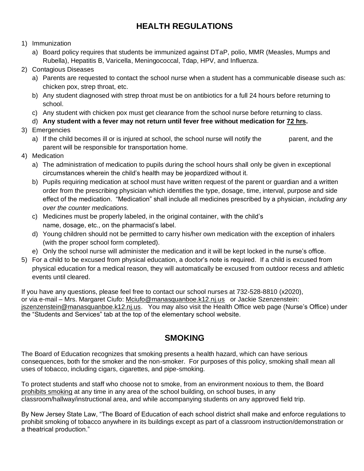# **HEALTH REGULATIONS**

- <span id="page-45-0"></span>1) Immunization
	- a) Board policy requires that students be immunized against DTaP, polio, MMR (Measles, Mumps and Rubella), Hepatitis B, Varicella, Meningococcal, Tdap, HPV, and Influenza.
- 2) Contagious Diseases
	- a) Parents are requested to contact the school nurse when a student has a communicable disease such as: chicken pox, strep throat, etc.
	- b) Any student diagnosed with strep throat must be on antibiotics for a full 24 hours before returning to school.
	- c) Any student with chicken pox must get clearance from the school nurse before returning to class.
	- d) **Any student with a fever may not return until fever free without medication for 72 hrs.**
- 3) Emergencies
	- a) If the child becomes ill or is injured at school, the school nurse will notify the parent, and the parent will be responsible for transportation home.
- 4) Medication
	- a) The administration of medication to pupils during the school hours shall only be given in exceptional circumstances wherein the child's health may be jeopardized without it.
	- b) Pupils requiring medication at school must have written request of the parent or guardian and a written order from the prescribing physician which identifies the type, dosage, time, interval, purpose and side effect of the medication. "Medication" shall include all medicines prescribed by a physician, *including any over the counter medications.*
	- c) Medicines must be properly labeled, in the original container, with the child's name, dosage, etc., on the pharmacist's label.
	- d) Young children should not be permitted to carry his/her own medication with the exception of inhalers (with the proper school form completed).
	- e) Only the school nurse will administer the medication and it will be kept locked in the nurse's office.
- 5) For a child to be excused from physical education, a doctor's note is required. If a child is excused from physical education for a medical reason, they will automatically be excused from outdoor recess and athletic events until cleared.

If you have any questions, please feel free to contact our school nurses at 732-528-8810 (x2020), or via e-mail – Mrs. Margaret Ciufo: [Mciufo@manasquanboe.k12.nj.us](mailto:Mciufo@manasquanboe.k12.nj.us) or Jackie Szenzenstein: [jszenzenstein@manasquanboe.k12.nj.us.](mailto:jszenzenstein@manasquanboe.k12.nj.us) You may also visit the Health Office web page (Nurse's Office) under the "Students and Services" tab at the top of the elementary school website.

# **SMOKING**

<span id="page-45-1"></span>The Board of Education recognizes that smoking presents a health hazard, which can have serious consequences, both for the smoker and the non-smoker. For purposes of this policy, smoking shall mean all uses of tobacco, including cigars, cigarettes, and pipe-smoking.

To protect students and staff who choose not to smoke, from an environment noxious to them, the Board prohibits smoking at any time in any area of the school building, on school buses, in any classroom/hallway/instructional area, and while accompanying students on any approved field trip.

By New Jersey State Law, "The Board of Education of each school district shall make and enforce regulations to prohibit smoking of tobacco anywhere in its buildings except as part of a classroom instruction/demonstration or a theatrical production."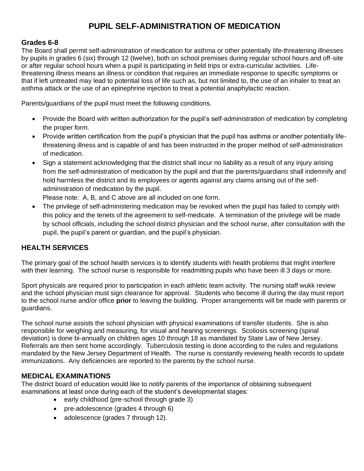# **PUPIL SELF-ADMINISTRATION OF MEDICATION**

### <span id="page-46-1"></span><span id="page-46-0"></span>**Grades 6-8**

The Board shall permit self-administration of medication for asthma or other potentially life-threatening illnesses by pupils in grades 6 (six) through 12 (twelve), both on school premises during regular school hours and off-site or after regular school hours when a pupil is participating in field trips or extra-curricular activities. Lifethreatening illness means an illness or condition that requires an immediate response to specific symptoms or that if left untreated may lead to potential loss of life such as, but not limited to, the use of an inhaler to treat an asthma attack or the use of an epinephrine injection to treat a potential anaphylactic reaction.

Parents/guardians of the pupil must meet the following conditions.

- Provide the Board with written authorization for the pupil's self-administration of medication by completing the proper form.
- Provide written certification from the pupil's physician that the pupil has asthma or another potentially lifethreatening illness and is capable of and has been instructed in the proper method of self-administration of medication.
- Sign a statement acknowledging that the district shall incur no liability as a result of any injury arising from the self-administration of medication by the pupil and that the parents/guardians shall indemnify and hold harmless the district and its employees or agents against any claims arising out of the selfadministration of medication by the pupil.

Please note: A, B, and C above are all included on one form.

• The privilege of self-administering medication may be revoked when the pupil has failed to comply with this policy and the tenets of the agreement to self-medicate. A termination of the privilege will be made by school officials, including the school district physician and the school nurse, after consultation with the pupil, the pupil's parent or guardian, and the pupil's physician.

### <span id="page-46-2"></span>**HEALTH SERVICES**

The primary goal of the school health services is to identify students with health problems that might interfere with their learning. The school nurse is responsible for readmitting pupils who have been ill 3 days or more.

Sport physicals are required prior to participation in each athletic team activity. The nursing staff wukk review and the school physician must sign clearance for approval. Students who become ill during the day must report to the school nurse and/or office **prior** to leaving the building. Proper arrangements will be made with parents or guardians.

The school nurse assists the school physician with physical examinations of transfer students. She is also responsible for weighing and measuring, for visual and hearing screenings. Scoliosis screening (spinal deviation) is done bi-annually on children ages 10 through 18 as mandated by State Law of New Jersey. Referrals are then sent home accordingly. Tuberculosis testing is done according to the rules and regulations mandated by the New Jersey Department of Health. The nurse is constantly reviewing health records to update immunizations. Any deficiencies are reported to the parents by the school nurse.

### <span id="page-46-3"></span>**MEDICAL EXAMINATIONS**

The district board of education would like to notify parents of the importance of obtaining subsequent examinations at least once during each of the student's developmental stages:

- early childhood (pre-school through grade 3)
- pre-adolescence (grades 4 through 6)
- adolescence (grades 7 through 12).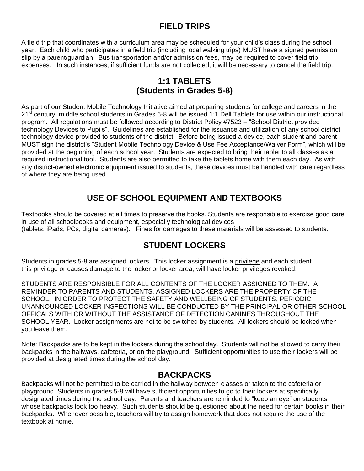# **FIELD TRIPS**

<span id="page-47-0"></span>A field trip that coordinates with a curriculum area may be scheduled for your child's class during the school year. Each child who participates in a field trip (including local walking trips) MUST have a signed permission slip by a parent/guardian. Bus transportation and/or admission fees, may be required to cover field trip expenses. In such instances, if sufficient funds are not collected, it will be necessary to cancel the field trip.

### **1:1 TABLETS (Students in Grades 5-8)**

<span id="page-47-2"></span><span id="page-47-1"></span>As part of our Student Mobile Technology Initiative aimed at preparing students for college and careers in the 21<sup>st</sup> century, middle school students in Grades 6-8 will be issued 1:1 Dell Tablets for use within our instructional program. All regulations must be followed according to District Policy #7523 – "School District provided technology Devices to Pupils". Guidelines are established for the issuance and utilization of any school district technology device provided to students of the district. Before being issued a device, each student and parent MUST sign the district's "Student Mobile Technology Device & Use Fee Acceptance/Waiver Form", which will be provided at the beginning of each school year. Students are expected to bring their tablet to all classes as a required instructional tool. Students are also permitted to take the tablets home with them each day. As with any district-owned electronic equipment issued to students, these devices must be handled with care regardless of where they are being used.

# **USE OF SCHOOL EQUIPMENT AND TEXTBOOKS**

<span id="page-47-3"></span>Textbooks should be covered at all times to preserve the books. Students are responsible to exercise good care in use of all schoolbooks and equipment, especially technological devices (tablets, iPads, PCs, digital cameras). Fines for damages to these materials will be assessed to students.

### **STUDENT LOCKERS**

<span id="page-47-4"></span>Students in grades 5-8 are assigned lockers. This locker assignment is a privilege and each student this privilege or causes damage to the locker or locker area, will have locker privileges revoked.

STUDENTS ARE RESPONSIBLE FOR ALL CONTENTS OF THE LOCKER ASSIGNED TO THEM. A REMINDER TO PARENTS AND STUDENTS, ASSIGNED LOCKERS ARE THE PROPERTY OF THE SCHOOL. IN ORDER TO PROTECT THE SAFETY AND WELLBEING OF STUDENTS, PERIODIC UNANNOUNCED LOCKER INSPECTIONS WILL BE CONDUCTED BY THE PRINCIPAL OR OTHER SCHOOL OFFICALS WITH OR WITHOUT THE ASSISTANCE OF DETECTION CANINES THROUGHOUT THE SCHOOL YEAR. Locker assignments are not to be switched by students. All lockers should be locked when you leave them.

Note: Backpacks are to be kept in the lockers during the school day. Students will not be allowed to carry their backpacks in the hallways, cafeteria, or on the playground. Sufficient opportunities to use their lockers will be provided at designated times during the school day.

### **BACKPACKS**

<span id="page-47-5"></span>Backpacks will not be permitted to be carried in the hallway between classes or taken to the cafeteria or playground. Students in grades 5-8 will have sufficient opportunities to go to their lockers at specifically designated times during the school day. Parents and teachers are reminded to "keep an eye" on students whose backpacks look too heavy. Such students should be questioned about the need for certain books in their backpacks. Whenever possible, teachers will try to assign homework that does not require the use of the textbook at home.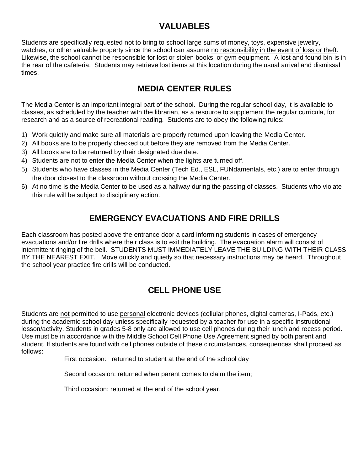# **VALUABLES**

<span id="page-48-0"></span>Students are specifically requested not to bring to school large sums of money, toys, expensive jewelry, watches, or other valuable property since the school can assume no responsibility in the event of loss or theft. Likewise, the school cannot be responsible for lost or stolen books, or gym equipment. A lost and found bin is in the rear of the cafeteria. Students may retrieve lost items at this location during the usual arrival and dismissal times.

# **MEDIA CENTER RULES**

<span id="page-48-1"></span>The Media Center is an important integral part of the school. During the regular school day, it is available to classes, as scheduled by the teacher with the librarian, as a resource to supplement the regular curricula, for research and as a source of recreational reading. Students are to obey the following rules:

- 1) Work quietly and make sure all materials are properly returned upon leaving the Media Center.
- 2) All books are to be properly checked out before they are removed from the Media Center.
- 3) All books are to be returned by their designated due date.
- 4) Students are not to enter the Media Center when the lights are turned off.
- 5) Students who have classes in the Media Center (Tech Ed., ESL, FUNdamentals, etc.) are to enter through the door closest to the classroom without crossing the Media Center.
- 6) At no time is the Media Center to be used as a hallway during the passing of classes. Students who violate this rule will be subject to disciplinary action.

# **EMERGENCY EVACUATIONS AND FIRE DRILLS**

<span id="page-48-2"></span>Each classroom has posted above the entrance door a card informing students in cases of emergency evacuations and/or fire drills where their class is to exit the building. The evacuation alarm will consist of intermittent ringing of the bell. STUDENTS MUST IMMEDIATELY LEAVE THE BUILDING WITH THEIR CLASS BY THE NEAREST EXIT. Move quickly and quietly so that necessary instructions may be heard. Throughout the school year practice fire drills will be conducted.

# **CELL PHONE USE**

<span id="page-48-3"></span>Students are not permitted to use personal electronic devices (cellular phones, digital cameras, I-Pads, etc.) during the academic school day unless specifically requested by a teacher for use in a specific instructional lesson/activity. Students in grades 5-8 only are allowed to use cell phones during their lunch and recess period. Use must be in accordance with the Middle School Cell Phone Use Agreement signed by both parent and student. If students are found with cell phones outside of these circumstances, consequences shall proceed as follows:

First occasion: returned to student at the end of the school day

Second occasion: returned when parent comes to claim the item;

Third occasion: returned at the end of the school year.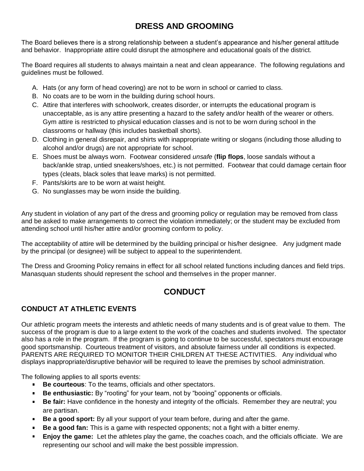# **DRESS AND GROOMING**

<span id="page-49-0"></span>The Board believes there is a strong relationship between a student's appearance and his/her general attitude and behavior. Inappropriate attire could disrupt the atmosphere and educational goals of the district.

The Board requires all students to always maintain a neat and clean appearance. The following regulations and guidelines must be followed.

- A. Hats (or any form of head covering) are not to be worn in school or carried to class.
- B. No coats are to be worn in the building during school hours.
- C. Attire that interferes with schoolwork, creates disorder, or interrupts the educational program is unacceptable, as is any attire presenting a hazard to the safety and/or health of the wearer or others. Gym attire is restricted to physical education classes and is not to be worn during school in the classrooms or hallway (this includes basketball shorts).
- D. Clothing in general disrepair, and shirts with inappropriate writing or slogans (including those alluding to alcohol and/or drugs) are not appropriate for school.
- E. Shoes must be always worn. Footwear considered *unsafe* (**flip flops**, loose sandals without a back/ankle strap, untied sneakers/shoes, etc.) is not permitted. Footwear that could damage certain floor types (cleats, black soles that leave marks) is not permitted.
- F. Pants/skirts are to be worn at waist height.
- G. No sunglasses may be worn inside the building.

Any student in violation of any part of the dress and grooming policy or regulation may be removed from class and be asked to make arrangements to correct the violation immediately; or the student may be excluded from attending school until his/her attire and/or grooming conform to policy.

The acceptability of attire will be determined by the building principal or his/her designee. Any judgment made by the principal (or designee) will be subject to appeal to the superintendent.

The Dress and Grooming Policy remains in effect for all school related functions including dances and field trips. Manasquan students should represent the school and themselves in the proper manner.

# **CONDUCT**

### <span id="page-49-2"></span><span id="page-49-1"></span>**CONDUCT AT ATHLETIC EVENTS**

Our athletic program meets the interests and athletic needs of many students and is of great value to them. The success of the program is due to a large extent to the work of the coaches and students involved. The spectator also has a role in the program. If the program is going to continue to be successful, spectators must encourage good sportsmanship. Courteous treatment of visitors, and absolute fairness under all conditions is expected. PARENTS ARE REQUIRED TO MONITOR THEIR CHILDREN AT THESE ACTIVITIES. Any individual who displays inappropriate/disruptive behavior will be required to leave the premises by school administration.

The following applies to all sports events:

- **Be courteous**: To the teams, officials and other spectators.  $\blacksquare$  .
- **Be enthusiastic:** By "rooting" for your team, not by "booing" opponents or officials.  $\blacksquare$
- **Be fair:** Have confidence in the honesty and integrity of the officials. Remember they are neutral; you are partisan.
- **Be a good sport:** By all your support of your team before, during and after the game.
- **Be a good fan:** This is a game with respected opponents; not a fight with a bitter enemy.
- **Enjoy the game:** Let the athletes play the game, the coaches coach, and the officials officiate. We are representing our school and will make the best possible impression.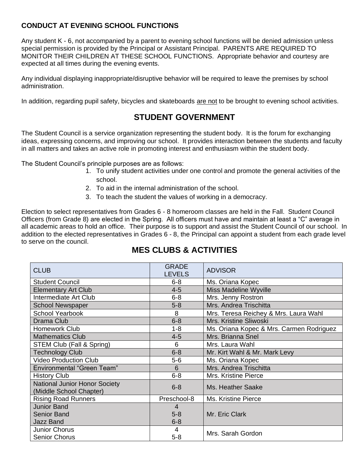### <span id="page-50-0"></span>**CONDUCT AT EVENING SCHOOL FUNCTIONS**

Any student K - 6, not accompanied by a parent to evening school functions will be denied admission unless special permission is provided by the Principal or Assistant Principal. PARENTS ARE REQUIRED TO MONITOR THEIR CHILDREN AT THESE SCHOOL FUNCTIONS. Appropriate behavior and courtesy are expected at all times during the evening events.

Any individual displaying inappropriate/disruptive behavior will be required to leave the premises by school administration.

<span id="page-50-1"></span>In addition, regarding pupil safety, bicycles and skateboards are not to be brought to evening school activities.

# **STUDENT GOVERNMENT**

The Student Council is a service organization representing the student body. It is the forum for exchanging ideas, expressing concerns, and improving our school. It provides interaction between the students and faculty in all matters and takes an active role in promoting interest and enthusiasm within the student body.

The Student Council's principle purposes are as follows:

- 1. To unify student activities under one control and promote the general activities of the school.
- 2. To aid in the internal administration of the school.
- 3. To teach the student the values of working in a democracy.

Election to select representatives from Grades 6 - 8 homeroom classes are held in the Fall. Student Council Officers (from Grade 8) are elected in the Spring. All officers must have and maintain at least a "C" average in all academic areas to hold an office. Their purpose is to support and assist the Student Council of our school. In addition to the elected representatives in Grades 6 - 8, the Principal can appoint a student from each grade level to serve on the council.

<span id="page-50-2"></span>

| <b>CLUB</b>                                                     | <b>GRADE</b><br><b>LEVELS</b> | <b>ADVISOR</b>                           |
|-----------------------------------------------------------------|-------------------------------|------------------------------------------|
| <b>Student Council</b>                                          | $6 - 8$                       | Ms. Oriana Kopec                         |
| <b>Elementary Art Club</b>                                      | $4 - 5$                       | Miss Madeline Wyville                    |
| Intermediate Art Club                                           | $6 - 8$                       | Mrs. Jenny Rostron                       |
| <b>School Newspaper</b>                                         | $5 - 8$                       | Mrs. Andrea Trischitta                   |
| <b>School Yearbook</b>                                          | 8                             | Mrs. Teresa Reichey & Mrs. Laura Wahl    |
| Drama Club                                                      | $6 - 8$                       | Mrs. Kristine Sliwoski                   |
| <b>Homework Club</b>                                            | $1 - 8$                       | Ms. Oriana Kopec & Mrs. Carmen Rodriguez |
| <b>Mathematics Club</b>                                         | $4 - 5$                       | Mrs. Brianna Snel                        |
| STEM Club (Fall & Spring)                                       | 6                             | Mrs. Laura Wahl                          |
| <b>Technology Club</b>                                          | $6 - 8$                       | Mr. Kirt Wahl & Mr. Mark Levy            |
| <b>Video Production Club</b>                                    | $5-6$                         | Ms. Oriana Kopec                         |
| <b>Environmental "Green Team"</b>                               | 6                             | Mrs. Andrea Trischitta                   |
| <b>History Club</b>                                             | $6 - 8$                       | Mrs. Kristine Pierce                     |
| <b>National Junior Honor Society</b><br>(Middle School Chapter) | $6 - 8$                       | Ms. Heather Saake                        |
| <b>Rising Road Runners</b>                                      | Preschool-8                   | Ms. Kristine Pierce                      |
| <b>Junior Band</b>                                              | 4                             |                                          |
| <b>Senior Band</b>                                              | $5 - 8$                       | Mr. Eric Clark                           |
| <b>Jazz Band</b>                                                | $6 - 8$                       |                                          |
| <b>Junior Chorus</b>                                            | 4                             | Mrs. Sarah Gordon                        |
| <b>Senior Chorus</b>                                            | $5 - 8$                       |                                          |

# **MES CLUBS & ACTIVITIES**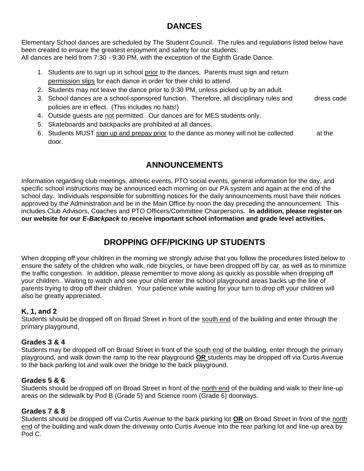# **DANCES**

<span id="page-51-0"></span>Elementary School dances are scheduled by The Student Council. The rules and regulations listed below have been created to ensure the greatest enjoyment and safety for our students: All dances are held from 7:30 - 9:30 PM, with the exception of the Eighth Grade Dance.

- 1. Students are to sign up in school prior to the dances. Parents must sign and return permission slips for each dance in order for their child to attend.
- 2. Students may not leave the dance prior to 9:30 PM, unless picked up by an adult.
- 3. School dances are a school-sponsored function. Therefore, all disciplinary rules and dress code policies are in effect. (This includes no hats!)
- 4. Outside guests are not permitted. Our dances are for MES students only.
- 5. Skateboards and backpacks are prohibited at all dances.
- 6. Students MUST sign up and prepay prior to the dance as money will not be collected at the door.

# **ANNOUNCEMENTS**

<span id="page-51-1"></span>Information regarding club meetings, athletic events, PTO social events, general information for the day, and specific school instructions may be announced each morning on our PA system and again at the end of the school day. Individuals responsible for submitting notices for the daily announcements must have their notices approved by the Administration and be in the Main Office by noon the day preceding the announcement. This includes Club Advisors, Coaches and PTO Officers/Committee Chairpersons. **In addition, please register on our website for our** *E-Backpack* **to receive important school information and grade level activities.**

# **DROPPING OFF/PICKING UP STUDENTS**

<span id="page-51-2"></span>When dropping off your children in the morning we strongly advise that you follow the procedures listed below to ensure the safety of the children who walk, ride bicycles, or have been dropped off by car, as well as to minimize the traffic congestion. In addition, please remember to move along as quickly as possible when dropping off your children. Waiting to watch and see your child enter the school playground areas backs up the line of parents trying to drop off their children. Your patience while waiting for your turn to drop off your children will also be greatly appreciated.

### <span id="page-51-3"></span>**K, 1, and 2**

Students should be dropped off on Broad Street in front of the south end of the building and enter through the primary playground.

### <span id="page-51-4"></span>**Grades 3 & 4**

Students may be dropped off on Broad Street in front of the south end of the building, enter through the primary playground, and walk down the ramp to the rear playground **OR** students may be dropped off via Curtis Avenue to the back parking lot and walk over the bridge to the back playground.

### <span id="page-51-5"></span>**Grades 5 & 6**

Students should be dropped off on Broad Street in front of the north end of the building and walk to their line-up areas on the sidewalk by Pod B (Grade 5) and Science room (Grade 6) doorways.

### <span id="page-51-6"></span>**Grades 7 & 8**

Students should be dropped off via Curtis Avenue to the back parking lot **OR** on Broad Street in front of the north end of the building and walk down the driveway onto Curtis Avenue into the rear parking lot and line-up area by Pod C.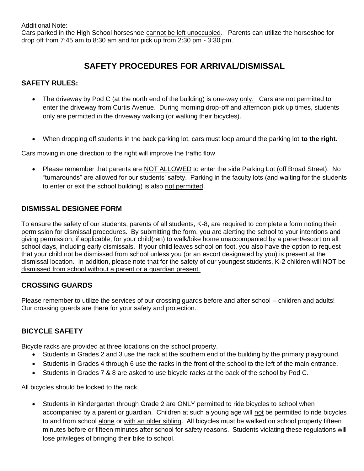Additional Note:

Cars parked in the High School horseshoe cannot be left unoccupied. Parents can utilize the horseshoe for drop off from 7:45 am to 8:30 am and for pick up from 2:30 pm - 3:30 pm.

# **SAFETY PROCEDURES FOR ARRIVAL/DISMISSAL**

### <span id="page-52-1"></span><span id="page-52-0"></span>**SAFETY RULES:**

- The driveway by Pod C (at the north end of the building) is one-way only. Cars are not permitted to enter the driveway from Curtis Avenue. During morning drop-off and afternoon pick up times, students only are permitted in the driveway walking (or walking their bicycles).
- When dropping off students in the back parking lot, cars must loop around the parking lot **to the right**.

Cars moving in one direction to the right will improve the traffic flow

• Please remember that parents are NOT ALLOWED to enter the side Parking Lot (off Broad Street). No "turnarounds" are allowed for our students' safety. Parking in the faculty lots (and waiting for the students to enter or exit the school building) is also not permitted.

#### <span id="page-52-2"></span>**DISMISSAL DESIGNEE FORM**

To ensure the safety of our students, parents of all students, K-8, are required to complete a form noting their permission for dismissal procedures. By submitting the form, you are alerting the school to your intentions and giving permission, if applicable, for your child(ren) to walk/bike home unaccompanied by a parent/escort on all school days, including early dismissals. If your child leaves school on foot, you also have the option to request that your child not be dismissed from school unless you (or an escort designated by you) is present at the dismissal location. In addition, please note that for the safety of our youngest students, K-2 children will NOT be dismissed from school without a parent or a guardian present.

#### <span id="page-52-3"></span>**CROSSING GUARDS**

Please remember to utilize the services of our crossing guards before and after school – children and adults! Our crossing guards are there for your safety and protection.

### <span id="page-52-4"></span>**BICYCLE SAFETY**

Bicycle racks are provided at three locations on the school property.

- Students in Grades 2 and 3 use the rack at the southern end of the building by the primary playground.
- Students in Grades 4 through 6 use the racks in the front of the school to the left of the main entrance.
- Students in Grades 7 & 8 are asked to use bicycle racks at the back of the school by Pod C.

All bicycles should be locked to the rack.

• Students in Kindergarten through Grade 2 are ONLY permitted to ride bicycles to school when accompanied by a parent or guardian. Children at such a young age will not be permitted to ride bicycles to and from school alone or with an older sibling. All bicycles must be walked on school property fifteen minutes before or fifteen minutes after school for safety reasons. Students violating these regulations will lose privileges of bringing their bike to school.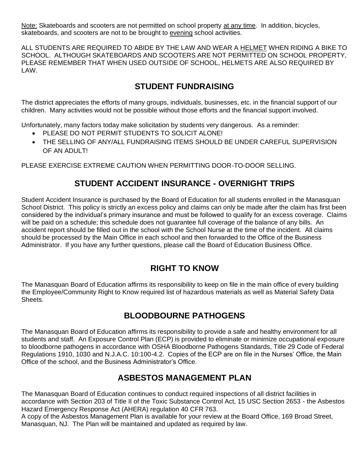Note: Skateboards and scooters are not permitted on school property at any time. In addition, bicycles, skateboards, and scooters are not to be brought to evening school activities.

ALL STUDENTS ARE REQUIRED TO ABIDE BY THE LAW AND WEAR A HELMET WHEN RIDING A BIKE TO SCHOOL. ALTHOUGH SKATEBOARDS AND SCOOTERS ARE NOT PERMITTED ON SCHOOL PROPERTY, PLEASE REMEMBER THAT WHEN USED OUTSIDE OF SCHOOL, HELMETS ARE ALSO REQUIRED BY LAW.

# **STUDENT FUNDRAISING**

<span id="page-53-0"></span>The district appreciates the efforts of many groups, individuals, businesses, etc. in the financial support of our children. Many activities would not be possible without those efforts and the financial support involved.

Unfortunately, many factors today make solicitation by students very dangerous. As a reminder:

- PLEASE DO NOT PERMIT STUDENTS TO SOLICIT ALONE!
- THE SELLING OF ANY/ALL FUNDRAISING ITEMS SHOULD BE UNDER CAREFUL SUPERVISION OF AN ADULT!

PLEASE EXERCISE EXTREME CAUTION WHEN PERMITTING DOOR-TO-DOOR SELLING.

# **STUDENT ACCIDENT INSURANCE - OVERNIGHT TRIPS**

<span id="page-53-1"></span>Student Accident Insurance is purchased by the Board of Education for all students enrolled in the Manasquan School District. This policy is strictly an excess policy and claims can only be made after the claim has first been considered by the individual's primary insurance and must be followed to qualify for an excess coverage. Claims will be paid on a schedule; this schedule does not guarantee full coverage of the balance of any bills. An accident report should be filled out in the school with the School Nurse at the time of the incident. All claims should be processed by the Main Office in each school and then forwarded to the Office of the Business Administrator. If you have any further questions, please call the Board of Education Business Office.

### **RIGHT TO KNOW**

<span id="page-53-2"></span>The Manasquan Board of Education affirms its responsibility to keep on file in the main office of every building the Employee/Community Right to Know required list of hazardous materials as well as Material Safety Data Sheets.

### **BLOODBOURNE PATHOGENS**

<span id="page-53-3"></span>The Manasquan Board of Education affirms its responsibility to provide a safe and healthy environment for all students and staff. An Exposure Control Plan (ECP) is provided to eliminate or minimize occupational exposure to bloodborne pathogens in accordance with OSHA Bloodborne Pathogens Standards, Title 29 Code of Federal Regulations 1910, 1030 and N.J.A.C. 10:100-4.2. Copies of the ECP are on file in the Nurses' Office, the Main Office of the school, and the Business Administrator's Office.

### **ASBESTOS MANAGEMENT PLAN**

<span id="page-53-4"></span>The Manasquan Board of Education continues to conduct required inspections of all district facilities in accordance with Section 203 of Title II of the Toxic Substance Control Act, 15 USC Section 2653 - the Asbestos Hazard Emergency Response Act (AHERA) regulation 40 CFR 763.

A copy of the Asbestos Management Plan is available for your review at the Board Office, 169 Broad Street, Manasquan, NJ. The Plan will be maintained and updated as required by law.